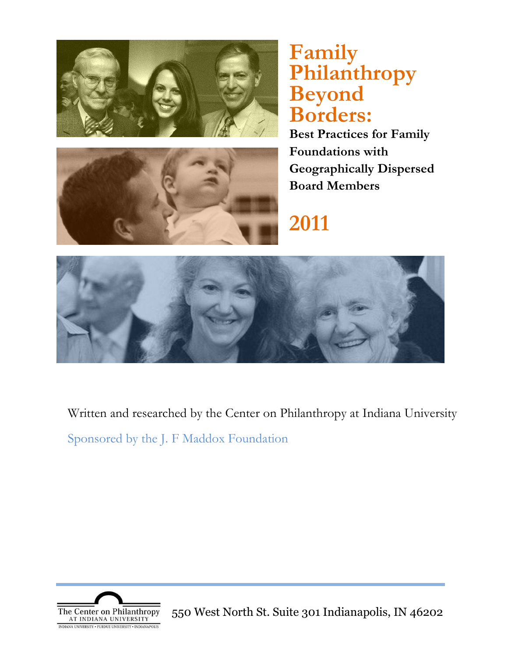

# **Family Philanthropy Beyond Borders:**



**Best Practices for Family Foundations with Geographically Dispersed Board Members**

# **2011**



 $\frac{1}{N}$  Sponsored by the J. F  $\frac{1}{N}$  of the J.  $\frac{1}{N}$  of  $\frac{1}{N}$  and  $\frac{1}{N}$  and  $\frac{1}{N}$  and  $\frac{1}{N}$ Written and researched by the Center on Philanthropy at Indiana University

 $\mathcal{C} = \begin{bmatrix} 11 & 1 & \text{FPAf} & 11 & \text{F} & 1 \end{bmatrix}$ Sponsored by the J. F Maddox Foundation



550 West North St. Suite 301 Indianapolis, IN 46202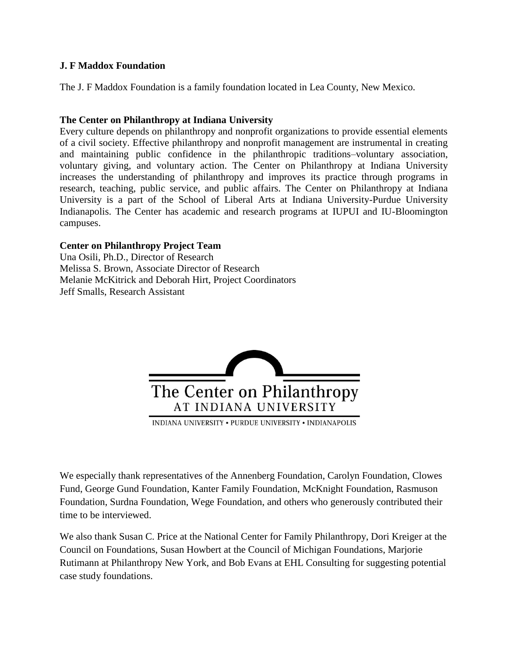#### **J. F Maddox Foundation**

The J. F Maddox Foundation is a family foundation located in Lea County, New Mexico.

#### **The Center on Philanthropy at Indiana University**

Every culture depends on philanthropy and nonprofit organizations to provide essential elements of a civil society. Effective philanthropy and nonprofit management are instrumental in creating and maintaining public confidence in the philanthropic traditions–voluntary association, voluntary giving, and voluntary action. The Center on Philanthropy at Indiana University increases the understanding of philanthropy and improves its practice through programs in research, teaching, public service, and public affairs. The Center on Philanthropy at Indiana University is a part of the School of Liberal Arts at Indiana University-Purdue University Indianapolis. The Center has academic and research programs at IUPUI and IU-Bloomington campuses.

#### **Center on Philanthropy Project Team**

Una Osili, Ph.D., Director of Research Melissa S. Brown, Associate Director of Research Melanie McKitrick and Deborah Hirt, Project Coordinators Jeff Smalls, Research Assistant



INDIANA UNIVERSITY . PURDUE UNIVERSITY . INDIANAPOLIS

We especially thank representatives of the Annenberg Foundation, Carolyn Foundation, Clowes Fund, George Gund Foundation, Kanter Family Foundation, McKnight Foundation, Rasmuson Foundation, Surdna Foundation, Wege Foundation, and others who generously contributed their time to be interviewed.

We also thank Susan C. Price at the National Center for Family Philanthropy, Dori Kreiger at the Council on Foundations, Susan Howbert at the Council of Michigan Foundations, Marjorie Rutimann at Philanthropy New York, and Bob Evans at EHL Consulting for suggesting potential case study foundations.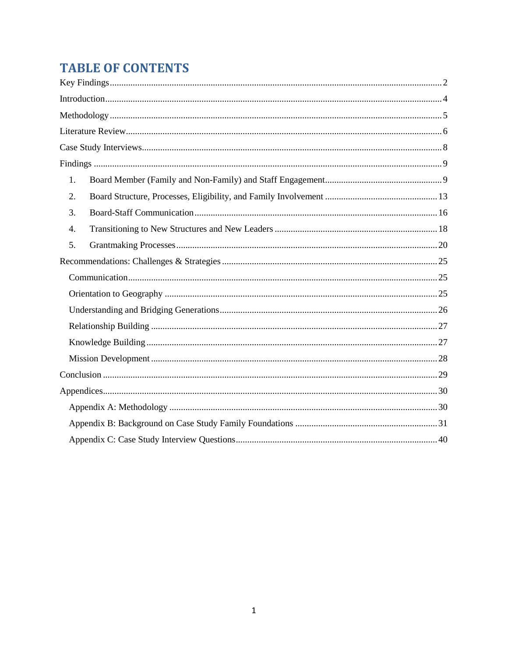# **TABLE OF CONTENTS**

| 1. |  |  |  |
|----|--|--|--|
| 2. |  |  |  |
| 3. |  |  |  |
| 4. |  |  |  |
| 5. |  |  |  |
|    |  |  |  |
|    |  |  |  |
|    |  |  |  |
|    |  |  |  |
|    |  |  |  |
|    |  |  |  |
|    |  |  |  |
|    |  |  |  |
|    |  |  |  |
|    |  |  |  |
|    |  |  |  |
|    |  |  |  |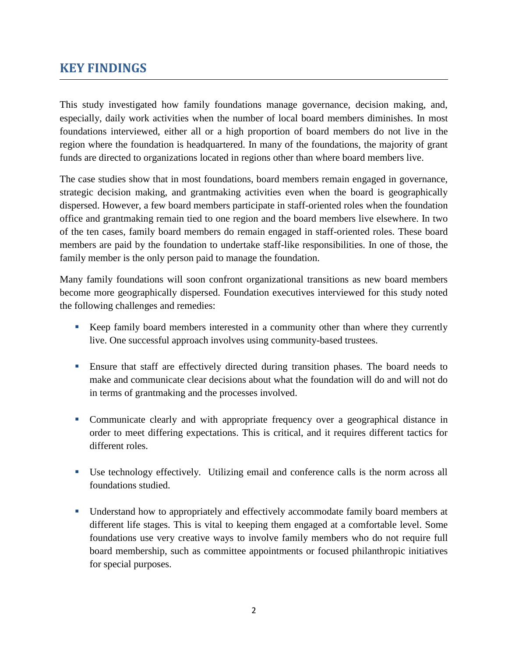## <span id="page-3-0"></span>**KEY FINDINGS**

This study investigated how family foundations manage governance, decision making, and, especially, daily work activities when the number of local board members diminishes. In most foundations interviewed, either all or a high proportion of board members do not live in the region where the foundation is headquartered. In many of the foundations, the majority of grant funds are directed to organizations located in regions other than where board members live.

The case studies show that in most foundations, board members remain engaged in governance, strategic decision making, and grantmaking activities even when the board is geographically dispersed. However, a few board members participate in staff-oriented roles when the foundation office and grantmaking remain tied to one region and the board members live elsewhere. In two of the ten cases, family board members do remain engaged in staff-oriented roles. These board members are paid by the foundation to undertake staff-like responsibilities. In one of those, the family member is the only person paid to manage the foundation.

Many family foundations will soon confront organizational transitions as new board members become more geographically dispersed. Foundation executives interviewed for this study noted the following challenges and remedies:

- Keep family board members interested in a community other than where they currently live. One successful approach involves using community-based trustees.
- Ensure that staff are effectively directed during transition phases. The board needs to make and communicate clear decisions about what the foundation will do and will not do in terms of grantmaking and the processes involved.
- Communicate clearly and with appropriate frequency over a geographical distance in order to meet differing expectations. This is critical, and it requires different tactics for different roles.
- Use technology effectively. Utilizing email and conference calls is the norm across all foundations studied.
- Understand how to appropriately and effectively accommodate family board members at different life stages. This is vital to keeping them engaged at a comfortable level. Some foundations use very creative ways to involve family members who do not require full board membership, such as committee appointments or focused philanthropic initiatives for special purposes.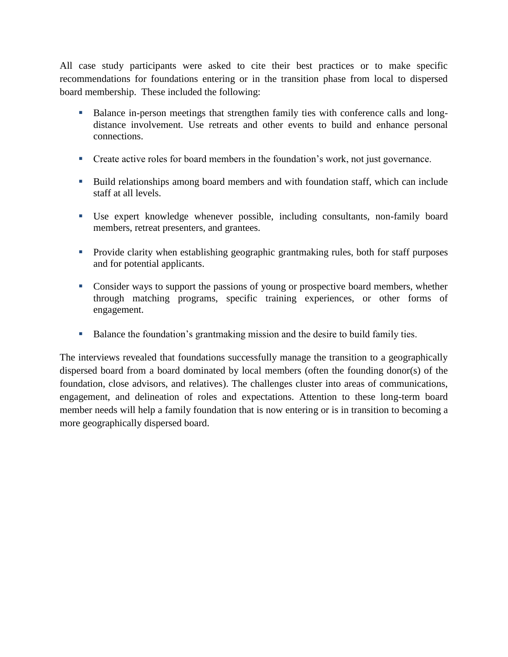All case study participants were asked to cite their best practices or to make specific recommendations for foundations entering or in the transition phase from local to dispersed board membership. These included the following:

- Balance in-person meetings that strengthen family ties with conference calls and longdistance involvement. Use retreats and other events to build and enhance personal connections.
- Create active roles for board members in the foundation's work, not just governance.
- Build relationships among board members and with foundation staff, which can include staff at all levels.
- Use expert knowledge whenever possible, including consultants, non-family board members, retreat presenters, and grantees.
- Provide clarity when establishing geographic grantmaking rules, both for staff purposes and for potential applicants.
- Consider ways to support the passions of young or prospective board members, whether through matching programs, specific training experiences, or other forms of engagement.
- Balance the foundation's grantmaking mission and the desire to build family ties.

The interviews revealed that foundations successfully manage the transition to a geographically dispersed board from a board dominated by local members (often the founding donor(s) of the foundation, close advisors, and relatives). The challenges cluster into areas of communications, engagement, and delineation of roles and expectations. Attention to these long-term board member needs will help a family foundation that is now entering or is in transition to becoming a more geographically dispersed board.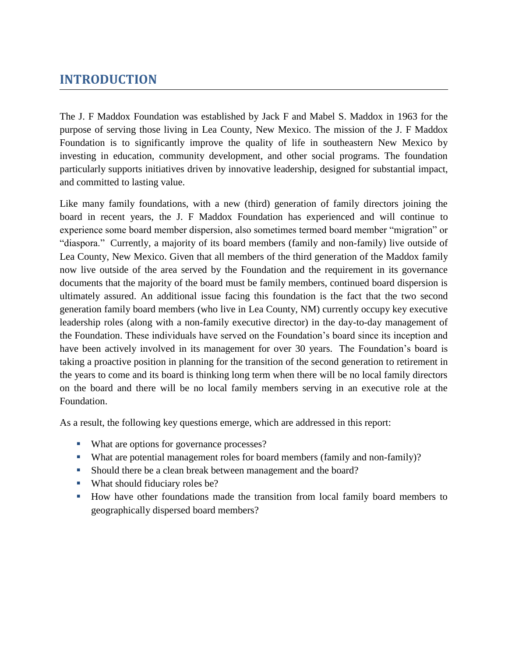# <span id="page-5-0"></span>**INTRODUCTION**

The J. F Maddox Foundation was established by Jack F and Mabel S. Maddox in 1963 for the purpose of serving those living in Lea County, New Mexico. The mission of the J. F Maddox Foundation is to significantly improve the quality of life in southeastern New Mexico by investing in education, community development, and other social programs. The foundation particularly supports initiatives driven by innovative leadership, designed for substantial impact, and committed to lasting value.

Like many family foundations, with a new (third) generation of family directors joining the board in recent years, the J. F Maddox Foundation has experienced and will continue to experience some board member dispersion, also sometimes termed board member "migration" or "diaspora." Currently, a majority of its board members (family and non-family) live outside of Lea County, New Mexico. Given that all members of the third generation of the Maddox family now live outside of the area served by the Foundation and the requirement in its governance documents that the majority of the board must be family members, continued board dispersion is ultimately assured. An additional issue facing this foundation is the fact that the two second generation family board members (who live in Lea County, NM) currently occupy key executive leadership roles (along with a non-family executive director) in the day-to-day management of the Foundation. These individuals have served on the Foundation's board since its inception and have been actively involved in its management for over 30 years. The Foundation's board is taking a proactive position in planning for the transition of the second generation to retirement in the years to come and its board is thinking long term when there will be no local family directors on the board and there will be no local family members serving in an executive role at the Foundation.

As a result, the following key questions emerge, which are addressed in this report:

- What are options for governance processes?
- What are potential management roles for board members (family and non-family)?
- Should there be a clean break between management and the board?
- What should fiduciary roles be?
- How have other foundations made the transition from local family board members to geographically dispersed board members?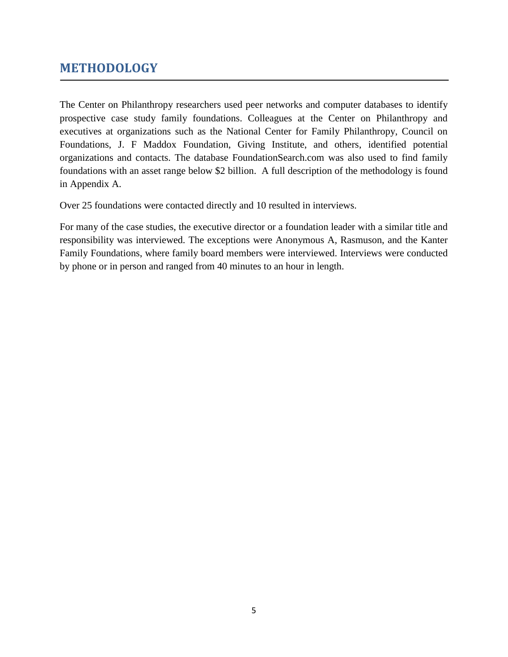## <span id="page-6-0"></span>**METHODOLOGY**

The Center on Philanthropy researchers used peer networks and computer databases to identify prospective case study family foundations. Colleagues at the Center on Philanthropy and executives at organizations such as the National Center for Family Philanthropy, Council on Foundations, J. F Maddox Foundation, Giving Institute, and others, identified potential organizations and contacts. The database FoundationSearch.com was also used to find family foundations with an asset range below \$2 billion. A full description of the methodology is found in Appendix A.

Over 25 foundations were contacted directly and 10 resulted in interviews.

For many of the case studies, the executive director or a foundation leader with a similar title and responsibility was interviewed. The exceptions were Anonymous A, Rasmuson, and the Kanter Family Foundations, where family board members were interviewed. Interviews were conducted by phone or in person and ranged from 40 minutes to an hour in length.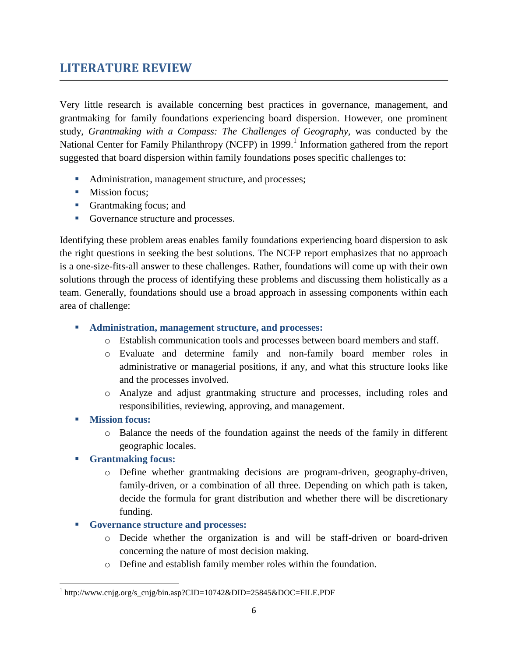# <span id="page-7-0"></span>**LITERATURE REVIEW**

Very little research is available concerning best practices in governance, management, and grantmaking for family foundations experiencing board dispersion. However, one prominent study, *Grantmaking with a Compass: The Challenges of Geography,* was conducted by the National Center for Family Philanthropy (NCFP) in 1999.<sup>1</sup> Information gathered from the report suggested that board dispersion within family foundations poses specific challenges to:

- Administration, management structure, and processes;
- **Mission focus;**
- Grantmaking focus; and
- Governance structure and processes.

Identifying these problem areas enables family foundations experiencing board dispersion to ask the right questions in seeking the best solutions. The NCFP report emphasizes that no approach is a one-size-fits-all answer to these challenges. Rather, foundations will come up with their own solutions through the process of identifying these problems and discussing them holistically as a team. Generally, foundations should use a broad approach in assessing components within each area of challenge:

- **Administration, management structure, and processes:**
	- o Establish communication tools and processes between board members and staff.
	- o Evaluate and determine family and non-family board member roles in administrative or managerial positions, if any, and what this structure looks like and the processes involved.
	- o Analyze and adjust grantmaking structure and processes, including roles and responsibilities, reviewing, approving, and management.
- **Mission focus:**

 $\overline{\phantom{a}}$ 

- o Balance the needs of the foundation against the needs of the family in different geographic locales.
- **Grantmaking focus:**
	- o Define whether grantmaking decisions are program-driven, geography-driven, family-driven, or a combination of all three. Depending on which path is taken, decide the formula for grant distribution and whether there will be discretionary funding.
- **Governance structure and processes:**
	- o Decide whether the organization is and will be staff-driven or board-driven concerning the nature of most decision making.
	- o Define and establish family member roles within the foundation.

<sup>&</sup>lt;sup>1</sup> http://www.cnjg.org/s\_cnjg/bin.asp?CID=10742&DID=25845&DOC=FILE.PDF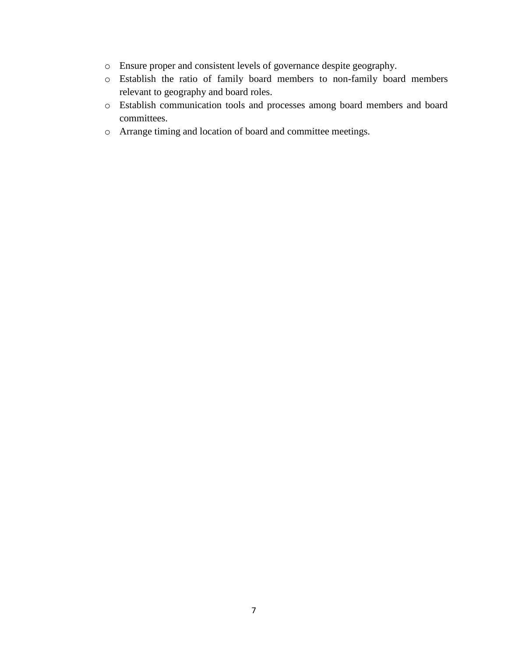- o Ensure proper and consistent levels of governance despite geography.
- o Establish the ratio of family board members to non-family board members relevant to geography and board roles.
- o Establish communication tools and processes among board members and board committees.
- o Arrange timing and location of board and committee meetings.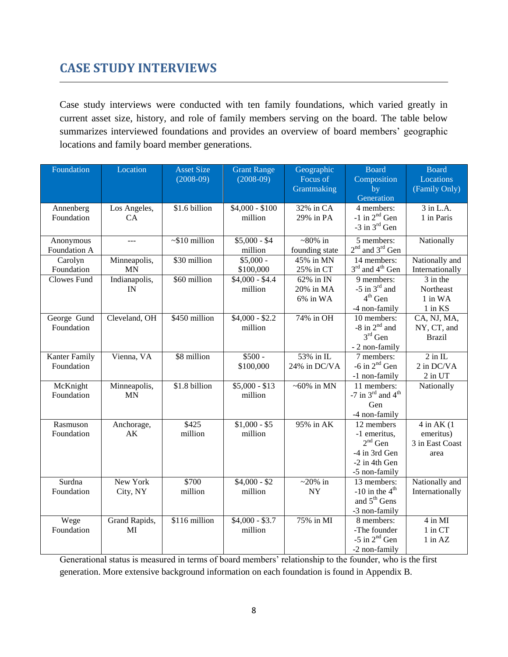# <span id="page-9-0"></span>**CASE STUDY INTERVIEWS**

Case study interviews were conducted with ten family foundations, which varied greatly in current asset size, history, and role of family members serving on the board. The table below summarizes interviewed foundations and provides an overview of board members' geographic locations and family board member generations.

| Foundation           | Location      | <b>Asset Size</b>   | <b>Grant Range</b> | Geographic        | <b>Board</b>                              | <b>Board</b>         |
|----------------------|---------------|---------------------|--------------------|-------------------|-------------------------------------------|----------------------|
|                      |               | $(2008-09)$         | $(2008-09)$        | Focus of          | Composition                               | Locations            |
|                      |               |                     |                    | Grantmaking       | by                                        | (Family Only)        |
|                      |               |                     |                    |                   | Generation                                |                      |
| Annenberg            | Los Angeles,  | \$1.6 billion       | $$4,000 - $100$    | 32% in CA         | 4 members:                                | 3 in L.A.            |
| Foundation           | CA            |                     | million            | 29% in PA         | $-1$ in $2nd$ Gen                         | 1 in Paris           |
|                      |               |                     |                    |                   | $-3$ in $3^{rd}$ Gen                      |                      |
| Anonymous            | $\sim$        | $\sim$ \$10 million | $$5,000 - $4$      | $~80\%$ in        | 5 members:                                | Nationally           |
| Foundation A         |               |                     | million            | founding state    | $2nd$ and $3rd$ Gen                       |                      |
| Carolyn              | Minneapolis,  | \$30 million        | $$5,000 -$         | 45% in MN         | 14 members:                               | Nationally and       |
| Foundation           | <b>MN</b>     |                     | \$100,000          | 25% in CT         | $3rd$ and $4th$ Gen                       | Internationally      |
| <b>Clowes Fund</b>   | Indianapolis, | \$60 million        | $$4,000 - $4.4$    | 62% in IN         | 9 members:                                | $\frac{1}{3}$ in the |
|                      | IN            |                     | million            | $20\%$ in MA      | -5 in $3^{\text{rd}}$ and                 | Northeast            |
|                      |               |                     |                    | 6% in WA          | $4th$ Gen                                 | 1 in WA              |
|                      |               |                     |                    |                   | -4 non-family                             | $1$ in $KS$          |
| George Gund          | Cleveland, OH | \$450 million       | $$4,000 - $2.2$$   | 74% in OH         | 10 members:                               | CA, NJ, MA,          |
| Foundation           |               |                     | million            |                   | -8 in $2nd$ and                           | NY, CT, and          |
|                      |               |                     |                    |                   | $3rd$ Gen                                 | <b>Brazil</b>        |
|                      |               |                     |                    |                   | - 2 non-family                            |                      |
| <b>Kanter Family</b> | Vienna, VA    | \$8 million         | $$500 -$           | 53% in IL         | 7 members:                                | $2$ in IL            |
| Foundation           |               |                     | \$100,000          | 24% in DC/VA      | $-6$ in $2nd$ Gen                         | 2 in DC/VA           |
|                      |               |                     |                    |                   | -1 non-family                             | $2$ in UT            |
| McKnight             | Minneapolis,  | \$1.8 billion       | $$5,000 - $13$     | $\sim 60\%$ in MN | 11 members:                               | Nationally           |
| Foundation           | <b>MN</b>     |                     | million            |                   | -7 in $3^{\text{rd}}$ and $4^{\text{th}}$ |                      |
|                      |               |                     |                    |                   | Gen                                       |                      |
|                      |               |                     |                    |                   | -4 non-family                             |                      |
| Rasmuson             | Anchorage,    | \$425               | $$1,000 - $5$      | 95% in AK         | 12 members                                | $4$ in AK $(1)$      |
| Foundation           | AK            | million             | million            |                   | -1 emeritus,                              | emeritus)            |
|                      |               |                     |                    |                   | $2^{\rm nd}$ Gen                          | 3 in East Coast      |
|                      |               |                     |                    |                   | -4 in 3rd Gen                             | area                 |
|                      |               |                     |                    |                   | -2 in 4th Gen                             |                      |
|                      |               |                     |                    |                   | -5 non-family                             |                      |
| Surdna               | New York      | \$700               | $$4,000 - $2$      | $\sim$ 20% in     | 13 members:                               | Nationally and       |
| Foundation           | City, NY      | million             | million            | <b>NY</b>         | $-10$ in the $4th$                        | Internationally      |
|                      |               |                     |                    |                   | and 5 <sup>th</sup> Gens                  |                      |
|                      |               |                     |                    |                   | -3 non-family                             |                      |
| Wege                 | Grand Rapids, | \$116 million       | $$4,000 - $3.7$    | 75% in MI         | 8 members:                                | 4 in MI              |
| Foundation           | MI            |                     | million            |                   | -The founder                              | 1 in CT              |
|                      |               |                     |                    |                   | $-5$ in $2nd$ Gen                         | $1$ in $AZ$          |
|                      |               |                     |                    |                   | -2 non-family                             |                      |

Generational status is measured in terms of board members' relationship to the founder, who is the first generation. More extensive background information on each foundation is found in Appendix B.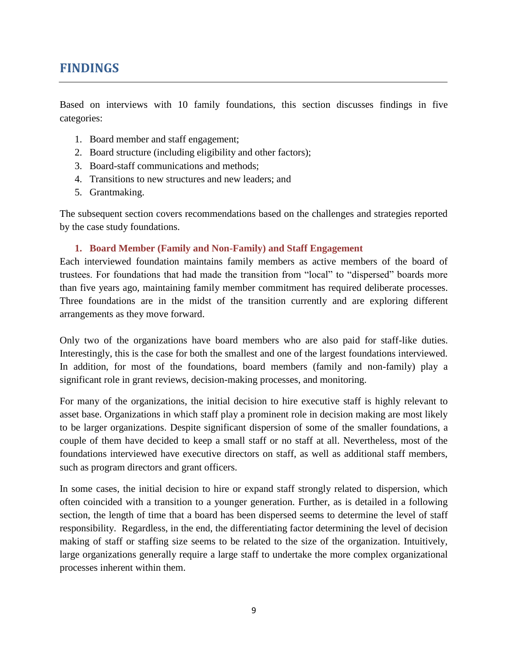# <span id="page-10-0"></span>**FINDINGS**

Based on interviews with 10 family foundations, this section discusses findings in five categories:

- 1. Board member and staff engagement;
- 2. Board structure (including eligibility and other factors);
- 3. Board-staff communications and methods;
- 4. Transitions to new structures and new leaders; and
- 5. Grantmaking.

The subsequent section covers recommendations based on the challenges and strategies reported by the case study foundations.

#### **1. Board Member (Family and Non-Family) and Staff Engagement**

<span id="page-10-1"></span>Each interviewed foundation maintains family members as active members of the board of trustees. For foundations that had made the transition from "local" to "dispersed" boards more than five years ago, maintaining family member commitment has required deliberate processes. Three foundations are in the midst of the transition currently and are exploring different arrangements as they move forward.

Only two of the organizations have board members who are also paid for staff-like duties. Interestingly, this is the case for both the smallest and one of the largest foundations interviewed. In addition, for most of the foundations, board members (family and non-family) play a significant role in grant reviews, decision-making processes, and monitoring.

For many of the organizations, the initial decision to hire executive staff is highly relevant to asset base. Organizations in which staff play a prominent role in decision making are most likely to be larger organizations. Despite significant dispersion of some of the smaller foundations, a couple of them have decided to keep a small staff or no staff at all. Nevertheless, most of the foundations interviewed have executive directors on staff, as well as additional staff members, such as program directors and grant officers.

In some cases, the initial decision to hire or expand staff strongly related to dispersion, which often coincided with a transition to a younger generation. Further, as is detailed in a following section, the length of time that a board has been dispersed seems to determine the level of staff responsibility. Regardless, in the end, the differentiating factor determining the level of decision making of staff or staffing size seems to be related to the size of the organization. Intuitively, large organizations generally require a large staff to undertake the more complex organizational processes inherent within them.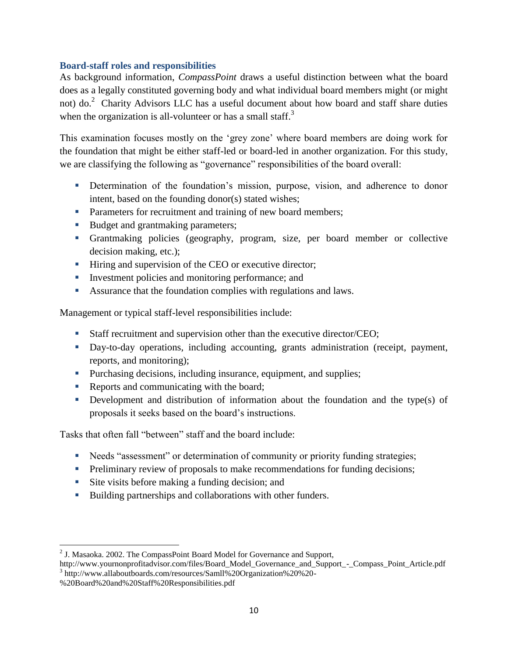#### **Board-staff roles and responsibilities**

As background information, *CompassPoint* draws a useful distinction between what the board does as a legally constituted governing body and what individual board members might (or might not) do.<sup>2</sup> Charity Advisors LLC has a useful document about how board and staff share duties when the organization is all-volunteer or has a small staff.<sup>3</sup>

This examination focuses mostly on the ‗grey zone' where board members are doing work for the foundation that might be either staff-led or board-led in another organization. For this study, we are classifying the following as "governance" responsibilities of the board overall:

- Determination of the foundation's mission, purpose, vision, and adherence to donor intent, based on the founding donor(s) stated wishes;
- **Parameters for recruitment and training of new board members;**
- Budget and grantmaking parameters;
- Grantmaking policies (geography, program, size, per board member or collective decision making, etc.);
- Hiring and supervision of the CEO or executive director;
- Investment policies and monitoring performance; and
- Assurance that the foundation complies with regulations and laws.

Management or typical staff-level responsibilities include:

- Staff recruitment and supervision other than the executive director/CEO;
- Day-to-day operations, including accounting, grants administration (receipt, payment, reports, and monitoring);
- Purchasing decisions, including insurance, equipment, and supplies;
- Reports and communicating with the board;
- Development and distribution of information about the foundation and the type(s) of proposals it seeks based on the board's instructions.

Tasks that often fall "between" staff and the board include:

- Needs "assessment" or determination of community or priority funding strategies;
- **Preliminary review of proposals to make recommendations for funding decisions;**
- Site visits before making a funding decision; and
- Building partnerships and collaborations with other funders.

 2 J. Masaoka. 2002. The CompassPoint Board Model for Governance and Support,

http://www.yournonprofitadvisor.com/files/Board\_Model\_Governance\_and\_Support\_-\_Compass\_Point\_Article.pdf 3 http://www.allaboutboards.com/resources/Samll%20Organization%20%20-

<sup>%20</sup>Board%20and%20Staff%20Responsibilities.pdf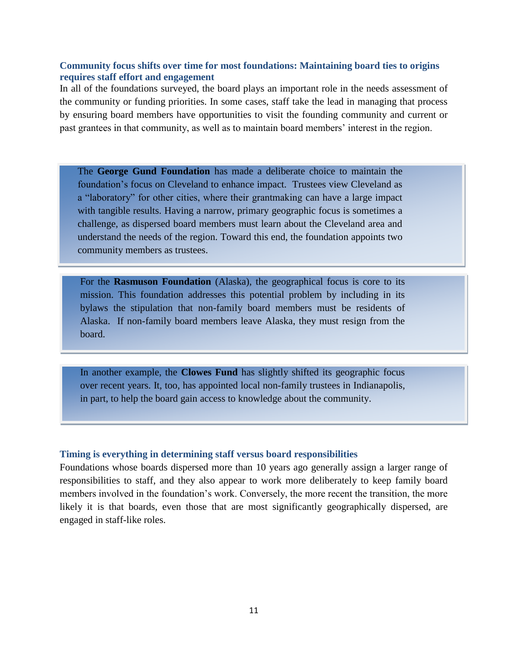#### **Community focus shifts over time for most foundations: Maintaining board ties to origins requires staff effort and engagement**

In all of the foundations surveyed, the board plays an important role in the needs assessment of the community or funding priorities. In some cases, staff take the lead in managing that process by ensuring board members have opportunities to visit the founding community and current or past grantees in that community, as well as to maintain board members' interest in the region.

The **George Gund Foundation** has made a deliberate choice to maintain the foundation's focus on Cleveland to enhance impact. Trustees view Cleveland as a "laboratory" for other cities, where their grantmaking can have a large impact with tangible results. Having a narrow, primary geographic focus is sometimes a challenge, as dispersed board members must learn about the Cleveland area and understand the needs of the region. Toward this end, the foundation appoints two community members as trustees.

For the **Rasmuson Foundation** (Alaska), the geographical focus is core to its mission. This foundation addresses this potential problem by including in its bylaws the stipulation that non-family board members must be residents of Alaska. If non-family board members leave Alaska, they must resign from the board.

In another example, the **Clowes Fund** has slightly shifted its geographic focus over recent years. It, too, has appointed local non-family trustees in Indianapolis, in part, to help the board gain access to knowledge about the community.

#### **Timing is everything in determining staff versus board responsibilities**

Foundations whose boards dispersed more than 10 years ago generally assign a larger range of responsibilities to staff, and they also appear to work more deliberately to keep family board members involved in the foundation's work. Conversely, the more recent the transition, the more likely it is that boards, even those that are most significantly geographically dispersed, are engaged in staff-like roles.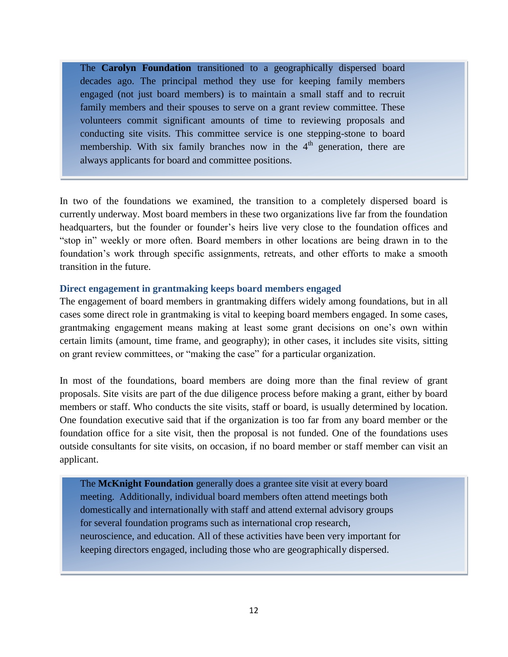The **Carolyn Foundation** transitioned to a geographically dispersed board decades ago. The principal method they use for keeping family members engaged (not just board members) is to maintain a small staff and to recruit family members and their spouses to serve on a grant review committee. These volunteers commit significant amounts of time to reviewing proposals and conducting site visits. This committee service is one stepping-stone to board membership. With six family branches now in the  $4<sup>th</sup>$  generation, there are always applicants for board and committee positions.

In two of the foundations we examined, the transition to a completely dispersed board is currently underway. Most board members in these two organizations live far from the foundation headquarters, but the founder or founder's heirs live very close to the foundation offices and ―stop in‖ weekly or more often. Board members in other locations are being drawn in to the foundation's work through specific assignments, retreats, and other efforts to make a smooth transition in the future.

#### **Direct engagement in grantmaking keeps board members engaged**

The engagement of board members in grantmaking differs widely among foundations, but in all cases some direct role in grantmaking is vital to keeping board members engaged. In some cases, grantmaking engagement means making at least some grant decisions on one's own within certain limits (amount, time frame, and geography); in other cases, it includes site visits, sitting on grant review committees, or "making the case" for a particular organization.

In most of the foundations, board members are doing more than the final review of grant proposals. Site visits are part of the due diligence process before making a grant, either by board members or staff. Who conducts the site visits, staff or board, is usually determined by location. One foundation executive said that if the organization is too far from any board member or the foundation office for a site visit, then the proposal is not funded. One of the foundations uses outside consultants for site visits, on occasion, if no board member or staff member can visit an applicant.

The **McKnight Foundation** generally does a grantee site visit at every board meeting. Additionally, individual board members often attend meetings both domestically and internationally with staff and attend external advisory groups for several foundation programs such as international crop research, neuroscience, and education. All of these activities have been very important for keeping directors engaged, including those who are geographically dispersed.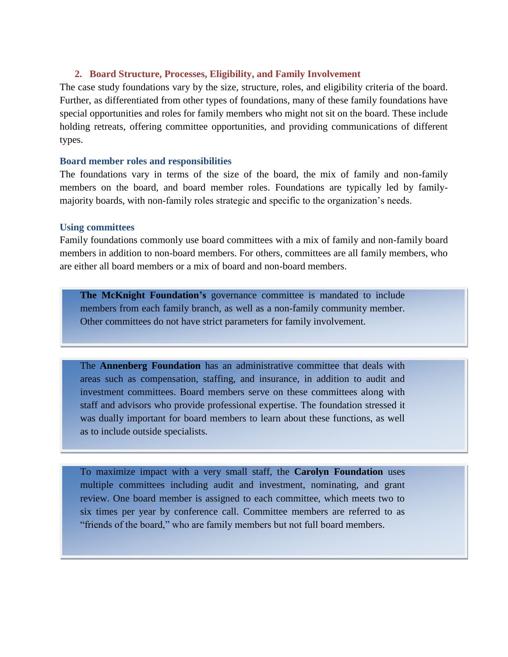#### <span id="page-14-0"></span>**2. Board Structure, Processes, Eligibility, and Family Involvement**

The case study foundations vary by the size, structure, roles, and eligibility criteria of the board. Further, as differentiated from other types of foundations, many of these family foundations have special opportunities and roles for family members who might not sit on the board. These include holding retreats, offering committee opportunities, and providing communications of different types.

#### **Board member roles and responsibilities**

The foundations vary in terms of the size of the board, the mix of family and non-family members on the board, and board member roles. Foundations are typically led by familymajority boards, with non-family roles strategic and specific to the organization's needs.

#### **Using committees**

Family foundations commonly use board committees with a mix of family and non-family board members in addition to non-board members. For others, committees are all family members, who are either all board members or a mix of board and non-board members.

**The McKnight Foundation's** governance committee is mandated to include members from each family branch, as well as a non-family community member. Other committees do not have strict parameters for family involvement.

The **Annenberg Foundation** has an administrative committee that deals with areas such as compensation, staffing, and insurance, in addition to audit and investment committees. Board members serve on these committees along with staff and advisors who provide professional expertise. The foundation stressed it was dually important for board members to learn about these functions, as well as to include outside specialists.

To maximize impact with a very small staff, the **Carolyn Foundation** uses multiple committees including audit and investment, nominating, and grant review. One board member is assigned to each committee, which meets two to six times per year by conference call. Committee members are referred to as "friends of the board," who are family members but not full board members.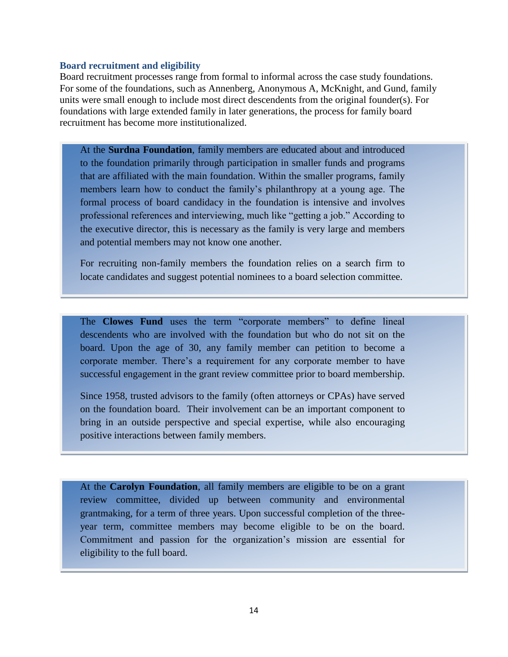#### **Board recruitment and eligibility**

Board recruitment processes range from formal to informal across the case study foundations. For some of the foundations, such as Annenberg, Anonymous A, McKnight, and Gund, family units were small enough to include most direct descendents from the original founder(s). For foundations with large extended family in later generations, the process for family board recruitment has become more institutionalized.

At the **Surdna Foundation**, family members are educated about and introduced to the foundation primarily through participation in smaller funds and programs that are affiliated with the main foundation. Within the smaller programs, family members learn how to conduct the family's philanthropy at a young age. The formal process of board candidacy in the foundation is intensive and involves professional references and interviewing, much like "getting a job." According to the executive director, this is necessary as the family is very large and members and potential members may not know one another.

For recruiting non-family members the foundation relies on a search firm to locate candidates and suggest potential nominees to a board selection committee.

The **Clowes Fund** uses the term "corporate members" to define lineal descendents who are involved with the foundation but who do not sit on the board. Upon the age of 30, any family member can petition to become a corporate member. There's a requirement for any corporate member to have successful engagement in the grant review committee prior to board membership.

Since 1958, trusted advisors to the family (often attorneys or CPAs) have served on the foundation board. Their involvement can be an important component to bring in an outside perspective and special expertise, while also encouraging positive interactions between family members.

At the **Carolyn Foundation**, all family members are eligible to be on a grant review committee, divided up between community and environmental grantmaking, for a term of three years. Upon successful completion of the threeyear term, committee members may become eligible to be on the board. Commitment and passion for the organization's mission are essential for eligibility to the full board.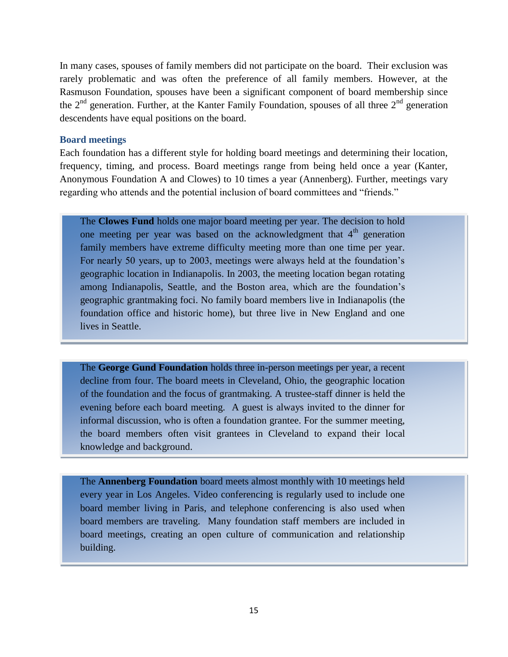In many cases, spouses of family members did not participate on the board. Their exclusion was rarely problematic and was often the preference of all family members. However, at the Rasmuson Foundation, spouses have been a significant component of board membership since the  $2^{nd}$  generation. Further, at the Kanter Family Foundation, spouses of all three  $2^{nd}$  generation descendents have equal positions on the board.

#### **Board meetings**

Each foundation has a different style for holding board meetings and determining their location, frequency, timing, and process. Board meetings range from being held once a year (Kanter, Anonymous Foundation A and Clowes) to 10 times a year (Annenberg). Further, meetings vary regarding who attends and the potential inclusion of board committees and "friends."

The **Clowes Fund** holds one major board meeting per year. The decision to hold one meeting per year was based on the acknowledgment that  $4<sup>th</sup>$  generation family members have extreme difficulty meeting more than one time per year. For nearly 50 years, up to 2003, meetings were always held at the foundation's geographic location in Indianapolis. In 2003, the meeting location began rotating among Indianapolis, Seattle, and the Boston area, which are the foundation's geographic grantmaking foci. No family board members live in Indianapolis (the foundation office and historic home), but three live in New England and one lives in Seattle.

The **George Gund Foundation** holds three in-person meetings per year, a recent the decline from four. The board meets in Cleveland, Ohio, the geographic location decline from four. The board meets in Cleveland, Ohio, the geographic location of the foundation and the focus of grantmaking. A trustee-staff dinner is held the evening before each board meeting. A guest is always invited to the dinner for informal discussion, who is often a foundation grantee. For the summer meeting, the board members often visit grantees in Cleveland to expand their local knowledge and background.

The Clowes Fund is grant review committee meets once yearly before the board before the board before the board

The **Annenberg Foundation** board meets almost monthly with 10 meetings held every year in Los Angeles. Video conferencing is regularly used to include one board member living in Paris, and telephone conferencing is also used when board members are traveling. Many foundation staff members are included in board meetings, creating an open culture of communication and relationship building.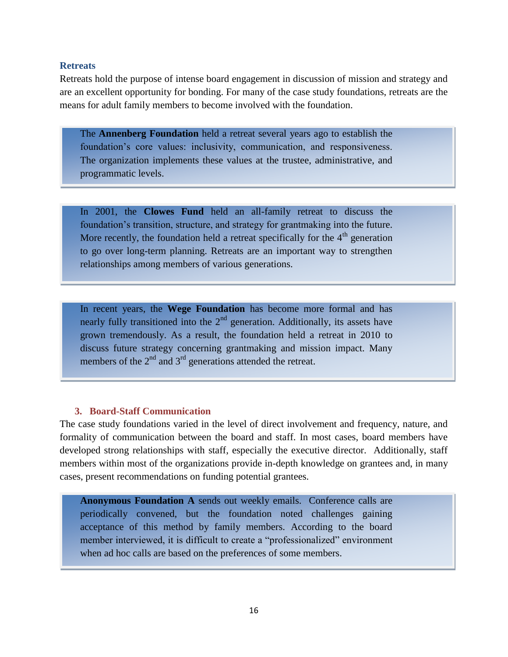#### **Retreats**

Retreats hold the purpose of intense board engagement in discussion of mission and strategy and are an excellent opportunity for bonding. For many of the case study foundations, retreats are the means for adult family members to become involved with the foundation.

The **Annenberg Foundation** held a retreat several years ago to establish the foundation's core values: inclusivity, communication, and responsiveness. The organization implements these values at the trustee, administrative, and programmatic levels.

In 2001, the **Clowes Fund** held an all-family retreat to discuss the foundation's transition, structure, and strategy for grantmaking into the future. More recently, the foundation held a retreat specifically for the  $4<sup>th</sup>$  generation to go over long-term planning. Retreats are an important way to strengthen relationships among members of various generations.

In recent years, the **Wege Foundation** has become more formal and has nearly fully transitioned into the  $2<sup>nd</sup>$  generation. Additionally, its assets have grown tremendously. As a result, the foundation held a retreat in 2010 to discuss future strategy concerning grantmaking and mission impact. Many members of the  $2<sup>nd</sup>$  and  $3<sup>rd</sup>$  generations attended the retreat.

#### **3. Board-Staff Communication**

<span id="page-17-0"></span>The case study foundations varied in the level of direct involvement and frequency, nature, and formality of communication between the board and staff. In most cases, board members have developed strong relationships with staff, especially the executive director. Additionally, staff members within most of the organizations provide in-depth knowledge on grantees and, in many cases, present recommendations on funding potential grantees.

**Anonymous Foundation A** sends out weekly emails. Conference calls are periodically convened, but the foundation noted challenges gaining acceptance of this method by family members. According to the board member interviewed, it is difficult to create a "professionalized" environment when ad hoc calls are based on the preferences of some members.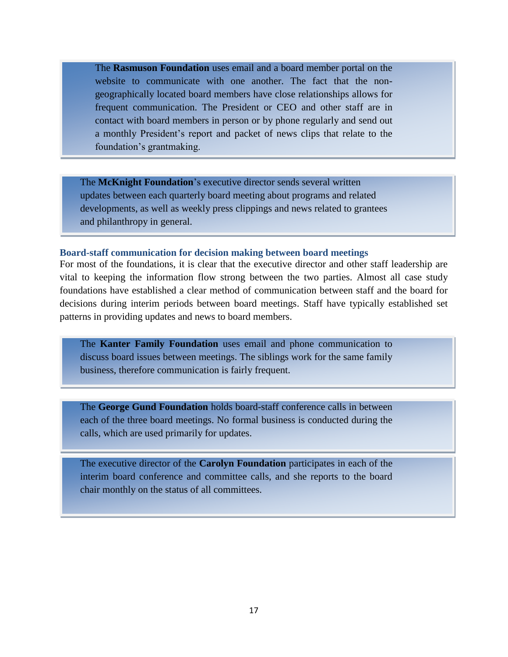The **Rasmuson Foundation** uses email and a board member portal on the website to communicate with one another. The fact that the nongeographically located board members have close relationships allows for frequent communication. The President or CEO and other staff are in contact with board members in person or by phone regularly and send out a monthly President's report and packet of news clips that relate to the foundation's grantmaking.

The **McKnight Foundation**'s executive director sends several written updates between each quarterly board meeting about programs and related developments, as well as weekly press clippings and news related to grantees and philanthropy in general.

#### **Board-staff communication for decision making between board meetings**

For most of the foundations, it is clear that the executive director and other staff leadership are vital to keeping the information flow strong between the two parties. Almost all case study foundations have established a clear method of communication between staff and the board for decisions during interim periods between board meetings. Staff have typically established set patterns in providing updates and news to board members.

The **Kanter Family Foundation** uses email and phone communication to discuss board issues between meetings. The siblings work for the same family business, therefore communication is fairly frequent.

The **George Gund Foundation** holds board-staff conference calls in between each of the three board meetings. No formal business is conducted during the calls, which are used primarily for updates.

The executive director of the **Carolyn Foundation** participates in each of the interim board conference and committee calls, and she reports to the board chair monthly on the status of all committees.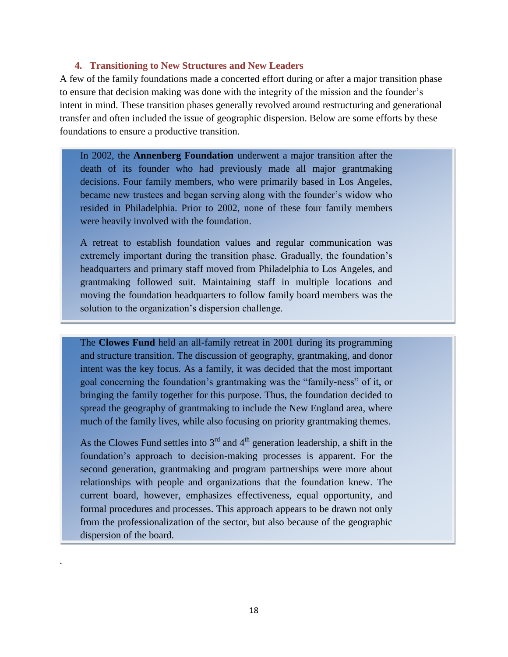#### **4. Transitioning to New Structures and New Leaders**

<span id="page-19-0"></span>A few of the family foundations made a concerted effort during or after a major transition phase to ensure that decision making was done with the integrity of the mission and the founder's intent in mind. These transition phases generally revolved around restructuring and generational transfer and often included the issue of geographic dispersion. Below are some efforts by these foundations to ensure a productive transition.

In 2002, the **Annenberg Foundation** underwent a major transition after the death of its founder who had previously made all major grantmaking decisions. Four family members, who were primarily based in Los Angeles, became new trustees and began serving along with the founder's widow who resided in Philadelphia. Prior to 2002, none of these four family members were heavily involved with the foundation.

A retreat to establish foundation values and regular communication was extremely important during the transition phase. Gradually, the foundation's headquarters and primary staff moved from Philadelphia to Los Angeles, and grantmaking followed suit. Maintaining staff in multiple locations and moving the foundation headquarters to follow family board members was the solution to the organization's dispersion challenge.

The **Clowes Fund** held an all-family retreat in 2001 during its programming and structure transition. The discussion of geography, grantmaking, and donor intent was the key focus. As a family, it was decided that the most important goal concerning the foundation's grantmaking was the "family-ness" of it, or bringing the family together for this purpose. Thus, the foundation decided to spread the geography of grantmaking to include the New England area, where much of the family lives, while also focusing on priority grantmaking themes.

As the Clowes Fund settles into  $3<sup>rd</sup>$  and  $4<sup>th</sup>$  generation leadership, a shift in the foundation's approach to decision-making processes is apparent. For the second generation, grantmaking and program partnerships were more about relationships with people and organizations that the foundation knew. The current board, however, emphasizes effectiveness, equal opportunity, and formal procedures and processes. This approach appears to be drawn not only from the professionalization of the sector, but also because of the geographic dispersion of the board.

.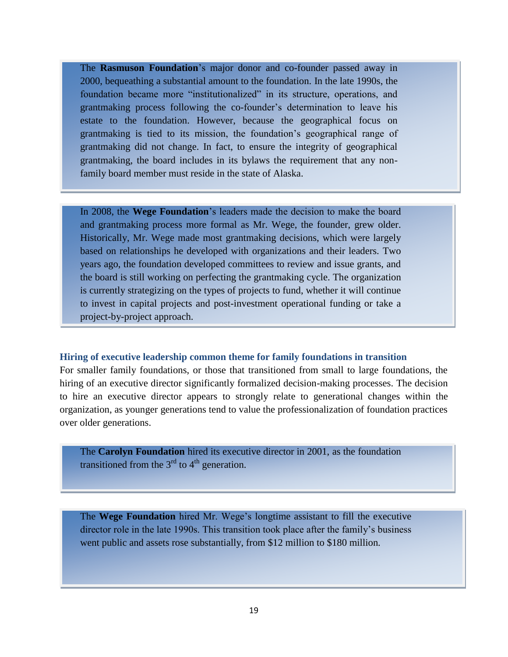The **Rasmuson Foundation**'s major donor and co-founder passed away in 2000, bequeathing a substantial amount to the foundation. In the late 1990s, the foundation became more "institutionalized" in its structure, operations, and grantmaking process following the co-founder's determination to leave his estate to the foundation. However, because the geographical focus on grantmaking is tied to its mission, the foundation's geographical range of grantmaking did not change. In fact, to ensure the integrity of geographical grantmaking, the board includes in its bylaws the requirement that any nonfamily board member must reside in the state of Alaska.

In 2008, the **Wege Foundation**'s leaders made the decision to make the board and grantmaking process more formal as Mr. Wege, the founder, grew older. Historically, Mr. Wege made most grantmaking decisions, which were largely based on relationships he developed with organizations and their leaders. Two years ago, the foundation developed committees to review and issue grants, and the board is still working on perfecting the grantmaking cycle. The organization is currently strategizing on the types of projects to fund, whether it will continue to invest in capital projects and post-investment operational funding or take a project-by-project approach.

#### **Hiring of executive leadership common theme for family foundations in transition**

For smaller family foundations, or those that transitioned from small to large foundations, the hiring of an executive director significantly formalized decision-making processes. The decision to hire an executive director appears to strongly relate to generational changes within the organization, as younger generations tend to value the professionalization of foundation practices over older generations.

The **Carolyn Foundation** hired its executive director in 2001, as the foundation transitioned from the  $3<sup>rd</sup>$  to  $4<sup>th</sup>$  generation.

The **Wege Foundation** hired Mr. Wege's longtime assistant to fill the executive director role in the late 1990s. This transition took place after the family's business went public and assets rose substantially, from \$12 million to \$180 million.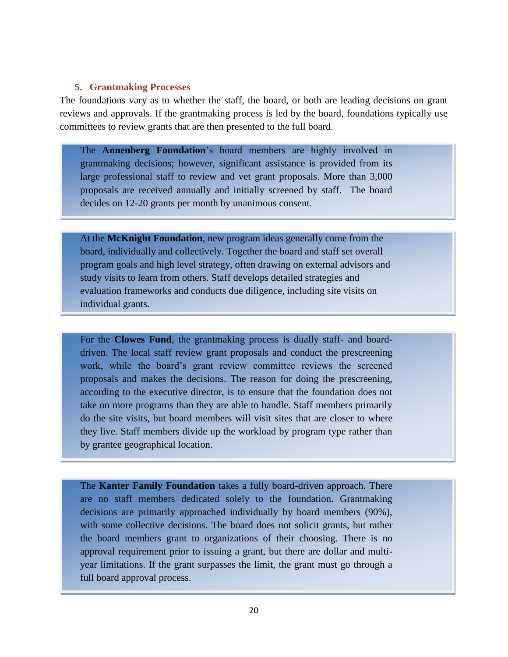#### <span id="page-21-0"></span>**5. Grantmaking Processes**

The foundations vary as to whether the staff, the board, or both are leading decisions on grant reviews and approvals. If the grantmaking process is led by the board, foundations typically use committees to review grants that are then presented to the full board.

The **Annenberg Foundation**'s board members are highly involved in grantmaking decisions; however, significant assistance is provided from its large professional staff to review and vet grant proposals. More than 3,000 proposals are received annually and initially screened by staff. The board decides on 12-20 grants per month by unanimous consent.

At the **McKnight Foundation**, new program ideas generally come from the board, individually and collectively. Together the board and staff set overall program goals and high level strategy, often drawing on external advisors and study visits to learn from others. Staff develops detailed strategies and evaluation frameworks and conducts due diligence, including site visits on individual grants.

For the **Clowes Fund**, the grantmaking process is dually staff- and boarddriven. The local staff review grant proposals and conduct the prescreening work, while the board's grant review committee reviews the screened proposals and makes the decisions. The reason for doing the prescreening, according to the executive director, is to ensure that the foundation does not take on more programs than they are able to handle. Staff members primarily do the site visits, but board members will visit sites that are closer to where they live. Staff members divide up the workload by program type rather than by grantee geographical location.

The **Kanter Family Foundation** takes a fully board-driven approach. There are no staff members dedicated solely to the foundation. Grantmaking decisions are primarily approached individually by board members (90%), with some collective decisions. The board does not solicit grants, but rather the board members grant to organizations of their choosing. There is no approval requirement prior to issuing a grant, but there are dollar and multiyear limitations. If the grant surpasses the limit, the grant must go through a full board approval process.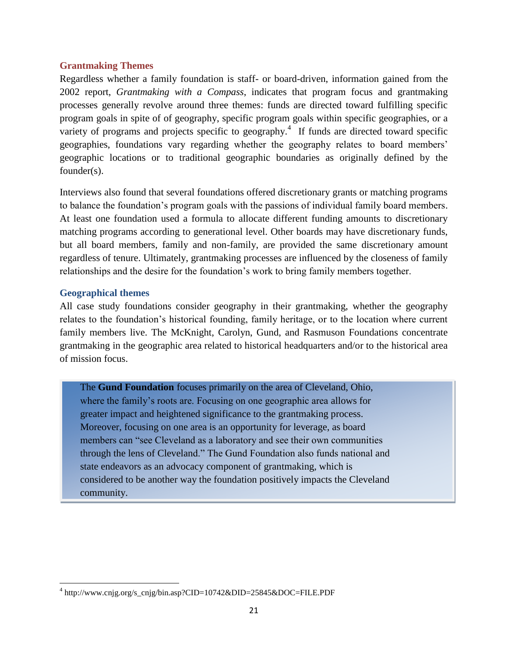#### **Grantmaking Themes**

Regardless whether a family foundation is staff- or board-driven, information gained from the 2002 report, *Grantmaking with a Compass*, indicates that program focus and grantmaking processes generally revolve around three themes: funds are directed toward fulfilling specific program goals in spite of of geography, specific program goals within specific geographies, or a variety of programs and projects specific to geography.<sup>4</sup> If funds are directed toward specific geographies, foundations vary regarding whether the geography relates to board members' geographic locations or to traditional geographic boundaries as originally defined by the founder(s).

Interviews also found that several foundations offered discretionary grants or matching programs to balance the foundation's program goals with the passions of individual family board members. At least one foundation used a formula to allocate different funding amounts to discretionary matching programs according to generational level. Other boards may have discretionary funds, but all board members, family and non-family, are provided the same discretionary amount regardless of tenure. Ultimately, grantmaking processes are influenced by the closeness of family relationships and the desire for the foundation's work to bring family members together.

#### **Geographical themes**

All case study foundations consider geography in their grantmaking, whether the geography relates to the foundation's historical founding, family heritage, or to the location where current family members live. The McKnight, Carolyn, Gund, and Rasmuson Foundations concentrate grantmaking in the geographic area related to historical headquarters and/or to the historical area of mission focus.

The **Gund Foundation** focuses primarily on the area of Cleveland, Ohio, where the family's roots are. Focusing on one geographic area allows for greater impact and heightened significance to the grantmaking process. Moreover, focusing on one area is an opportunity for leverage, as board members can "see Cleveland as a laboratory and see their own communities through the lens of Cleveland.‖ The Gund Foundation also funds national and state endeavors as an advocacy component of grantmaking, which is considered to be another way the foundation positively impacts the Cleveland community.

 $\overline{\phantom{a}}$ <sup>4</sup> http://www.cnjg.org/s\_cnjg/bin.asp?CID=10742&DID=25845&DOC=FILE.PDF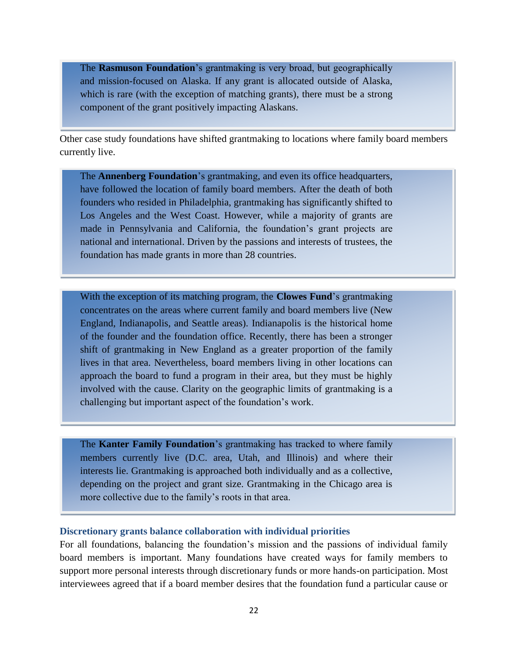The **Rasmuson Foundation**'s grantmaking is very broad, but geographically and mission-focused on Alaska. If any grant is allocated outside of Alaska, which is rare (with the exception of matching grants), there must be a strong component of the grant positively impacting Alaskans.

Other case study foundations have shifted grantmaking to locations where family board members currently live.

The **Annenberg Foundation**'s grantmaking, and even its office headquarters, have followed the location of family board members. After the death of both founders who resided in Philadelphia, grantmaking has significantly shifted to Los Angeles and the West Coast. However, while a majority of grants are made in Pennsylvania and California, the foundation's grant projects are national and international. Driven by the passions and interests of trustees, the foundation has made grants in more than 28 countries.

With the exception of its matching program, the **Clowes Fund**'s grantmaking concentrates on the areas where current family and board members live (New England, Indianapolis, and Seattle areas). Indianapolis is the historical home of the founder and the foundation office. Recently, there has been a stronger shift of grantmaking in New England as a greater proportion of the family lives in that area. Nevertheless, board members living in other locations can approach the board to fund a program in their area, but they must be highly involved with the cause. Clarity on the geographic limits of grantmaking is a challenging but important aspect of the foundation's work.

The **Kanter Family Foundation**'s grantmaking has tracked to where family members currently live (D.C. area, Utah, and Illinois) and where their interests lie. Grantmaking is approached both individually and as a collective, depending on the project and grant size. Grantmaking in the Chicago area is more collective due to the family's roots in that area.

#### **Discretionary grants balance collaboration with individual priorities**

For all foundations, balancing the foundation's mission and the passions of individual family board members is important. Many foundations have created ways for family members to support more personal interests through discretionary funds or more hands-on participation. Most interviewees agreed that if a board member desires that the foundation fund a particular cause or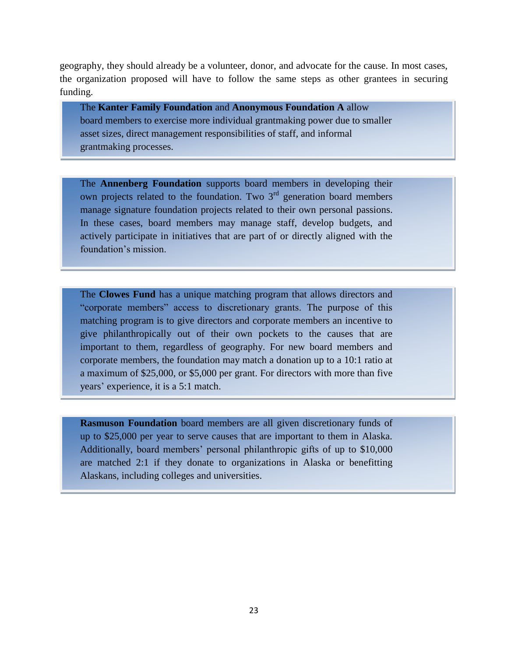geography, they should already be a volunteer, donor, and advocate for the cause. In most cases, the organization proposed will have to follow the same steps as other grantees in securing funding.

The **Kanter Family Foundation** and **Anonymous Foundation A** allow board members to exercise more individual grantmaking power due to smaller asset sizes, direct management responsibilities of staff, and informal grantmaking processes.

The **Annenberg Foundation** supports board members in developing their own projects related to the foundation. Two  $3<sup>rd</sup>$  generation board members manage signature foundation projects related to their own personal passions. In these cases, board members may manage staff, develop budgets, and actively participate in initiatives that are part of or directly aligned with the foundation's mission.

The **Clowes Fund** has a unique matching program that allows directors and ―corporate members‖ access to discretionary grants. The purpose of this matching program is to give directors and corporate members an incentive to give philanthropically out of their own pockets to the causes that are important to them, regardless of geography. For new board members and corporate members, the foundation may match a donation up to a 10:1 ratio at a maximum of \$25,000, or \$5,000 per grant. For directors with more than five years' experience, it is a 5:1 match.

**Rasmuson Foundation** board members are all given discretionary funds of up to \$25,000 per year to serve causes that are important to them in Alaska. Additionally, board members' personal philanthropic gifts of up to \$10,000 are matched 2:1 if they donate to organizations in Alaska or benefitting Alaskans, including colleges and universities.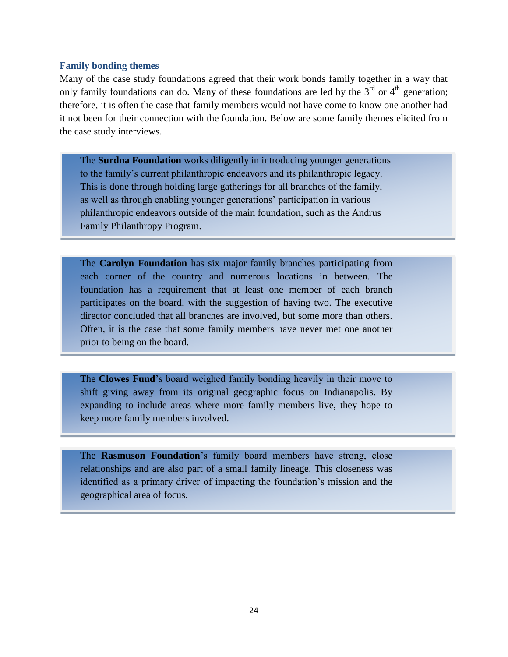#### **Family bonding themes**

Many of the case study foundations agreed that their work bonds family together in a way that only family foundations can do. Many of these foundations are led by the  $3<sup>rd</sup>$  or  $4<sup>th</sup>$  generation; therefore, it is often the case that family members would not have come to know one another had it not been for their connection with the foundation. Below are some family themes elicited from the case study interviews.

The **Surdna Foundation** works diligently in introducing younger generations to the family's current philanthropic endeavors and its philanthropic legacy. This is done through holding large gatherings for all branches of the family, as well as through enabling younger generations' participation in various philanthropic endeavors outside of the main foundation, such as the Andrus Family Philanthropy Program.

The **Carolyn Foundation** has six major family branches participating from each corner of the country and numerous locations in between. The foundation has a requirement that at least one member of each branch participates on the board, with the suggestion of having two. The executive director concluded that all branches are involved, but some more than others. Often, it is the case that some family members have never met one another prior to being on the board.

The **Clowes Fund**'s board weighed family bonding heavily in their move to shift giving away from its original geographic focus on Indianapolis. By expanding to include areas where more family members live, they hope to keep more family members involved.

The **Rasmuson Foundation**'s family board members have strong, close relationships and are also part of a small family lineage. This closeness was identified as a primary driver of impacting the foundation's mission and the geographical area of focus.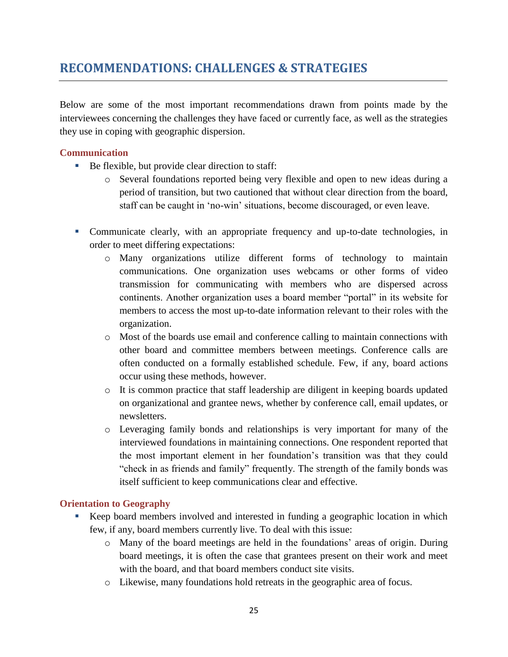# <span id="page-26-0"></span>**RECOMMENDATIONS: CHALLENGES & STRATEGIES**

Below are some of the most important recommendations drawn from points made by the interviewees concerning the challenges they have faced or currently face, as well as the strategies they use in coping with geographic dispersion.

#### <span id="page-26-1"></span>**Communication**

- Be flexible, but provide clear direction to staff:
	- o Several foundations reported being very flexible and open to new ideas during a period of transition, but two cautioned that without clear direction from the board, staff can be caught in 'no-win' situations, become discouraged, or even leave.
- Communicate clearly, with an appropriate frequency and up-to-date technologies, in order to meet differing expectations:
	- o Many organizations utilize different forms of technology to maintain communications. One organization uses webcams or other forms of video transmission for communicating with members who are dispersed across continents. Another organization uses a board member "portal" in its website for members to access the most up-to-date information relevant to their roles with the organization.
	- o Most of the boards use email and conference calling to maintain connections with other board and committee members between meetings. Conference calls are often conducted on a formally established schedule. Few, if any, board actions occur using these methods, however.
	- $\circ$  It is common practice that staff leadership are diligent in keeping boards updated on organizational and grantee news, whether by conference call, email updates, or newsletters.
	- o Leveraging family bonds and relationships is very important for many of the interviewed foundations in maintaining connections. One respondent reported that the most important element in her foundation's transition was that they could "check in as friends and family" frequently. The strength of the family bonds was itself sufficient to keep communications clear and effective.

#### <span id="page-26-2"></span>**Orientation to Geography**

- Keep board members involved and interested in funding a geographic location in which few, if any, board members currently live. To deal with this issue:
	- o Many of the board meetings are held in the foundations' areas of origin. During board meetings, it is often the case that grantees present on their work and meet with the board, and that board members conduct site visits.
	- o Likewise, many foundations hold retreats in the geographic area of focus.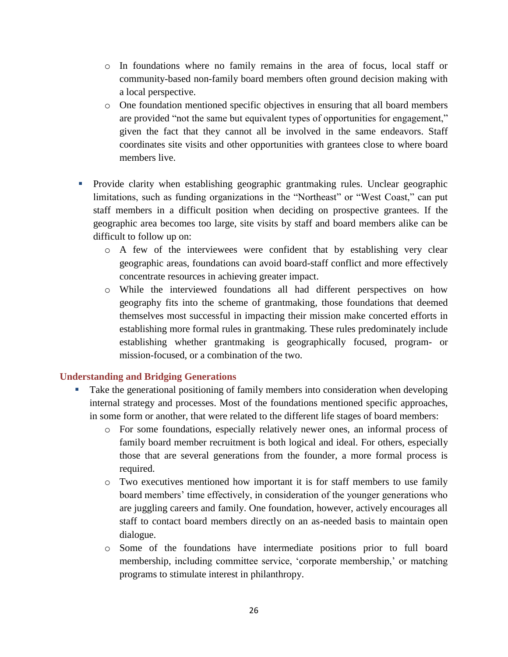- o In foundations where no family remains in the area of focus, local staff or community-based non-family board members often ground decision making with a local perspective.
- o One foundation mentioned specific objectives in ensuring that all board members are provided "not the same but equivalent types of opportunities for engagement," given the fact that they cannot all be involved in the same endeavors. Staff coordinates site visits and other opportunities with grantees close to where board members live.
- Provide clarity when establishing geographic grantmaking rules. Unclear geographic limitations, such as funding organizations in the "Northeast" or "West Coast," can put staff members in a difficult position when deciding on prospective grantees. If the geographic area becomes too large, site visits by staff and board members alike can be difficult to follow up on:
	- o A few of the interviewees were confident that by establishing very clear geographic areas, foundations can avoid board-staff conflict and more effectively concentrate resources in achieving greater impact.
	- o While the interviewed foundations all had different perspectives on how geography fits into the scheme of grantmaking, those foundations that deemed themselves most successful in impacting their mission make concerted efforts in establishing more formal rules in grantmaking. These rules predominately include establishing whether grantmaking is geographically focused, program- or mission-focused, or a combination of the two.

#### <span id="page-27-0"></span>**Understanding and Bridging Generations**

- Take the generational positioning of family members into consideration when developing internal strategy and processes. Most of the foundations mentioned specific approaches, in some form or another, that were related to the different life stages of board members:
	- o For some foundations, especially relatively newer ones, an informal process of family board member recruitment is both logical and ideal. For others, especially those that are several generations from the founder, a more formal process is required.
	- o Two executives mentioned how important it is for staff members to use family board members' time effectively, in consideration of the younger generations who are juggling careers and family. One foundation, however, actively encourages all staff to contact board members directly on an as-needed basis to maintain open dialogue.
	- o Some of the foundations have intermediate positions prior to full board membership, including committee service, 'corporate membership,' or matching programs to stimulate interest in philanthropy.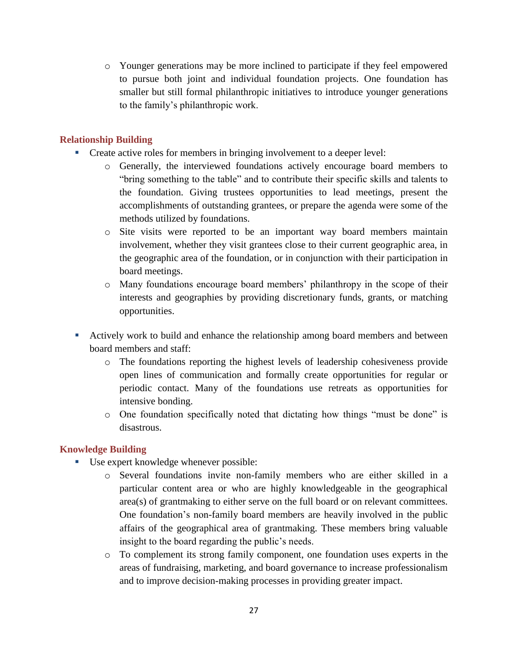o Younger generations may be more inclined to participate if they feel empowered to pursue both joint and individual foundation projects. One foundation has smaller but still formal philanthropic initiatives to introduce younger generations to the family's philanthropic work.

#### <span id="page-28-0"></span>**Relationship Building**

- Create active roles for members in bringing involvement to a deeper level:
	- o Generally, the interviewed foundations actively encourage board members to "bring something to the table" and to contribute their specific skills and talents to the foundation. Giving trustees opportunities to lead meetings, present the accomplishments of outstanding grantees, or prepare the agenda were some of the methods utilized by foundations.
	- o Site visits were reported to be an important way board members maintain involvement, whether they visit grantees close to their current geographic area, in the geographic area of the foundation, or in conjunction with their participation in board meetings.
	- o Many foundations encourage board members' philanthropy in the scope of their interests and geographies by providing discretionary funds, grants, or matching opportunities.
- Actively work to build and enhance the relationship among board members and between board members and staff:
	- o The foundations reporting the highest levels of leadership cohesiveness provide open lines of communication and formally create opportunities for regular or periodic contact. Many of the foundations use retreats as opportunities for intensive bonding.
	- o One foundation specifically noted that dictating how things "must be done" is disastrous.

#### <span id="page-28-1"></span>**Knowledge Building**

- Use expert knowledge whenever possible:
	- o Several foundations invite non-family members who are either skilled in a particular content area or who are highly knowledgeable in the geographical area(s) of grantmaking to either serve on the full board or on relevant committees. One foundation's non-family board members are heavily involved in the public affairs of the geographical area of grantmaking. These members bring valuable insight to the board regarding the public's needs.
	- o To complement its strong family component, one foundation uses experts in the areas of fundraising, marketing, and board governance to increase professionalism and to improve decision-making processes in providing greater impact.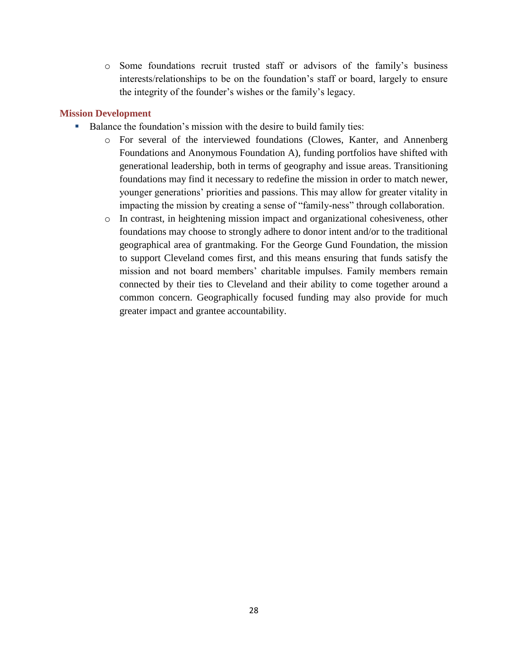o Some foundations recruit trusted staff or advisors of the family's business interests/relationships to be on the foundation's staff or board, largely to ensure the integrity of the founder's wishes or the family's legacy.

#### <span id="page-29-0"></span>**Mission Development**

- Balance the foundation's mission with the desire to build family ties:
	- o For several of the interviewed foundations (Clowes, Kanter, and Annenberg Foundations and Anonymous Foundation A), funding portfolios have shifted with generational leadership, both in terms of geography and issue areas. Transitioning foundations may find it necessary to redefine the mission in order to match newer, younger generations' priorities and passions. This may allow for greater vitality in impacting the mission by creating a sense of "family-ness" through collaboration.
	- o In contrast, in heightening mission impact and organizational cohesiveness, other foundations may choose to strongly adhere to donor intent and/or to the traditional geographical area of grantmaking. For the George Gund Foundation, the mission to support Cleveland comes first, and this means ensuring that funds satisfy the mission and not board members' charitable impulses. Family members remain connected by their ties to Cleveland and their ability to come together around a common concern. Geographically focused funding may also provide for much greater impact and grantee accountability.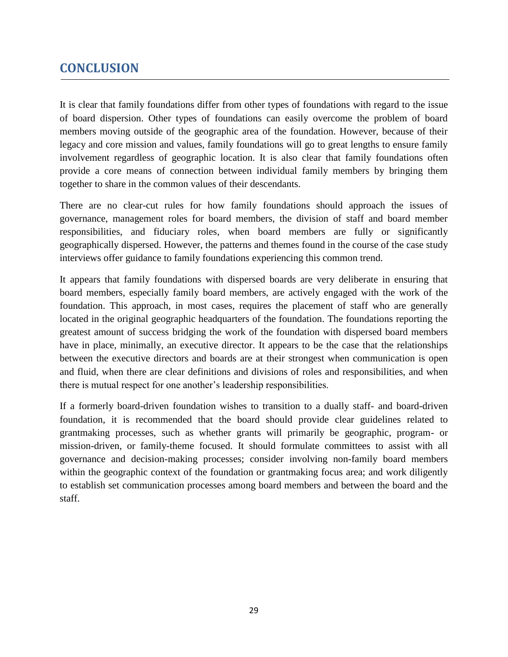# <span id="page-30-0"></span>**CONCLUSION**

It is clear that family foundations differ from other types of foundations with regard to the issue of board dispersion. Other types of foundations can easily overcome the problem of board members moving outside of the geographic area of the foundation. However, because of their legacy and core mission and values, family foundations will go to great lengths to ensure family involvement regardless of geographic location. It is also clear that family foundations often provide a core means of connection between individual family members by bringing them together to share in the common values of their descendants.

There are no clear-cut rules for how family foundations should approach the issues of governance, management roles for board members, the division of staff and board member responsibilities, and fiduciary roles, when board members are fully or significantly geographically dispersed. However, the patterns and themes found in the course of the case study interviews offer guidance to family foundations experiencing this common trend.

It appears that family foundations with dispersed boards are very deliberate in ensuring that board members, especially family board members, are actively engaged with the work of the foundation. This approach, in most cases, requires the placement of staff who are generally located in the original geographic headquarters of the foundation. The foundations reporting the greatest amount of success bridging the work of the foundation with dispersed board members have in place, minimally, an executive director. It appears to be the case that the relationships between the executive directors and boards are at their strongest when communication is open and fluid, when there are clear definitions and divisions of roles and responsibilities, and when there is mutual respect for one another's leadership responsibilities.

If a formerly board-driven foundation wishes to transition to a dually staff- and board-driven foundation, it is recommended that the board should provide clear guidelines related to grantmaking processes, such as whether grants will primarily be geographic, program- or mission-driven, or family-theme focused. It should formulate committees to assist with all governance and decision-making processes; consider involving non-family board members within the geographic context of the foundation or grantmaking focus area; and work diligently to establish set communication processes among board members and between the board and the staff.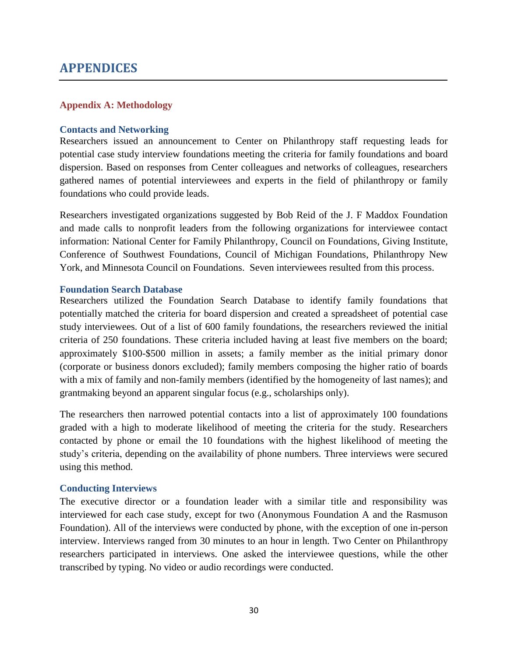### <span id="page-31-0"></span>**APPENDICES**

#### <span id="page-31-1"></span>**Appendix A: Methodology**

#### **Contacts and Networking**

Researchers issued an announcement to Center on Philanthropy staff requesting leads for potential case study interview foundations meeting the criteria for family foundations and board dispersion. Based on responses from Center colleagues and networks of colleagues, researchers gathered names of potential interviewees and experts in the field of philanthropy or family foundations who could provide leads.

Researchers investigated organizations suggested by Bob Reid of the J. F Maddox Foundation and made calls to nonprofit leaders from the following organizations for interviewee contact information: National Center for Family Philanthropy, Council on Foundations, Giving Institute, Conference of Southwest Foundations, Council of Michigan Foundations, Philanthropy New York, and Minnesota Council on Foundations. Seven interviewees resulted from this process.

#### **Foundation Search Database**

Researchers utilized the Foundation Search Database to identify family foundations that potentially matched the criteria for board dispersion and created a spreadsheet of potential case study interviewees. Out of a list of 600 family foundations, the researchers reviewed the initial criteria of 250 foundations. These criteria included having at least five members on the board; approximately \$100-\$500 million in assets; a family member as the initial primary donor (corporate or business donors excluded); family members composing the higher ratio of boards with a mix of family and non-family members (identified by the homogeneity of last names); and grantmaking beyond an apparent singular focus (e.g., scholarships only).

The researchers then narrowed potential contacts into a list of approximately 100 foundations graded with a high to moderate likelihood of meeting the criteria for the study. Researchers contacted by phone or email the 10 foundations with the highest likelihood of meeting the study's criteria, depending on the availability of phone numbers. Three interviews were secured using this method.

#### **Conducting Interviews**

The executive director or a foundation leader with a similar title and responsibility was interviewed for each case study, except for two (Anonymous Foundation A and the Rasmuson Foundation). All of the interviews were conducted by phone, with the exception of one in-person interview. Interviews ranged from 30 minutes to an hour in length. Two Center on Philanthropy researchers participated in interviews. One asked the interviewee questions, while the other transcribed by typing. No video or audio recordings were conducted.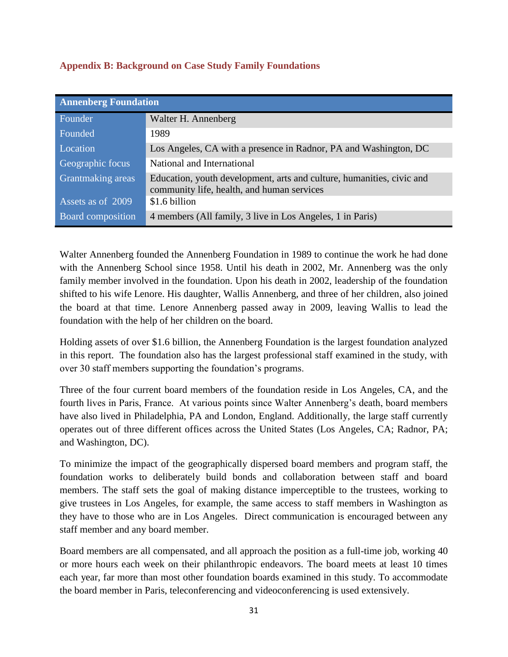<span id="page-32-0"></span>

| <b>Annenberg Foundation</b> |                                                                                                                     |  |  |
|-----------------------------|---------------------------------------------------------------------------------------------------------------------|--|--|
| Founder                     | Walter H. Annenberg                                                                                                 |  |  |
| Founded                     | 1989                                                                                                                |  |  |
| Location                    | Los Angeles, CA with a presence in Radnor, PA and Washington, DC                                                    |  |  |
| Geographic focus            | National and International                                                                                          |  |  |
| <b>Grantmaking areas</b>    | Education, youth development, arts and culture, humanities, civic and<br>community life, health, and human services |  |  |
| Assets as of 2009           | \$1.6 billion                                                                                                       |  |  |
| Board composition           | 4 members (All family, 3 live in Los Angeles, 1 in Paris)                                                           |  |  |

Walter Annenberg founded the Annenberg Foundation in 1989 to continue the work he had done with the Annenberg School since 1958. Until his death in 2002, Mr. Annenberg was the only family member involved in the foundation. Upon his death in 2002, leadership of the foundation shifted to his wife Lenore. His daughter, Wallis Annenberg, and three of her children, also joined the board at that time. Lenore Annenberg passed away in 2009, leaving Wallis to lead the foundation with the help of her children on the board.

Holding assets of over \$1.6 billion, the Annenberg Foundation is the largest foundation analyzed in this report. The foundation also has the largest professional staff examined in the study, with over 30 staff members supporting the foundation's programs.

Three of the four current board members of the foundation reside in Los Angeles, CA, and the fourth lives in Paris, France. At various points since Walter Annenberg's death, board members have also lived in Philadelphia, PA and London, England. Additionally, the large staff currently operates out of three different offices across the United States (Los Angeles, CA; Radnor, PA; and Washington, DC).

To minimize the impact of the geographically dispersed board members and program staff, the foundation works to deliberately build bonds and collaboration between staff and board members. The staff sets the goal of making distance imperceptible to the trustees, working to give trustees in Los Angeles, for example, the same access to staff members in Washington as they have to those who are in Los Angeles. Direct communication is encouraged between any staff member and any board member.

Board members are all compensated, and all approach the position as a full-time job, working 40 or more hours each week on their philanthropic endeavors. The board meets at least 10 times each year, far more than most other foundation boards examined in this study. To accommodate the board member in Paris, teleconferencing and videoconferencing is used extensively.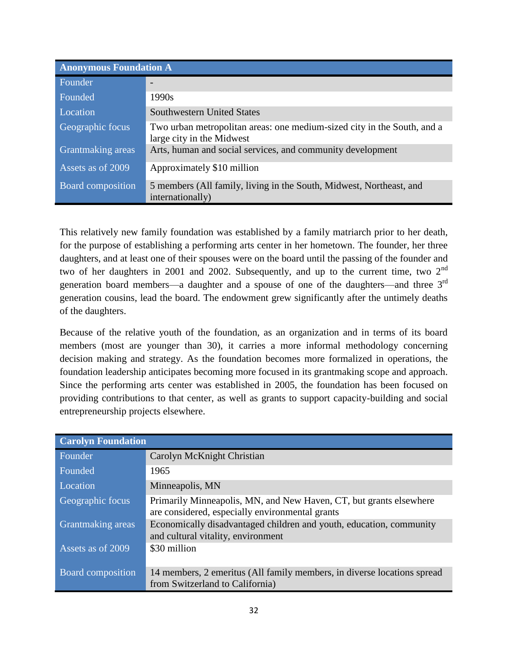| <b>Anonymous Foundation A</b> |                                                                                                      |  |  |
|-------------------------------|------------------------------------------------------------------------------------------------------|--|--|
| Founder                       |                                                                                                      |  |  |
| Founded                       | 1990s                                                                                                |  |  |
| Location                      | <b>Southwestern United States</b>                                                                    |  |  |
| Geographic focus              | Two urban metropolitan areas: one medium-sized city in the South, and a<br>large city in the Midwest |  |  |
| Grantmaking areas             | Arts, human and social services, and community development                                           |  |  |
| Assets as of 2009             | Approximately \$10 million                                                                           |  |  |
| <b>Board composition</b>      | 5 members (All family, living in the South, Midwest, Northeast, and<br>internationally)              |  |  |

This relatively new family foundation was established by a family matriarch prior to her death, for the purpose of establishing a performing arts center in her hometown. The founder, her three daughters, and at least one of their spouses were on the board until the passing of the founder and two of her daughters in 2001 and 2002. Subsequently, and up to the current time, two 2<sup>nd</sup> generation board members—a daughter and a spouse of one of the daughters—and three 3<sup>rd</sup> generation cousins, lead the board. The endowment grew significantly after the untimely deaths of the daughters.

Because of the relative youth of the foundation, as an organization and in terms of its board members (most are younger than 30), it carries a more informal methodology concerning decision making and strategy. As the foundation becomes more formalized in operations, the foundation leadership anticipates becoming more focused in its grantmaking scope and approach. Since the performing arts center was established in 2005, the foundation has been focused on providing contributions to that center, as well as grants to support capacity-building and social entrepreneurship projects elsewhere.

| <b>Carolyn Foundation</b> |                                                                                                                       |  |
|---------------------------|-----------------------------------------------------------------------------------------------------------------------|--|
| Founder                   | Carolyn McKnight Christian                                                                                            |  |
| Founded                   | 1965                                                                                                                  |  |
| Location                  | Minneapolis, MN                                                                                                       |  |
| Geographic focus          | Primarily Minneapolis, MN, and New Haven, CT, but grants elsewhere<br>are considered, especially environmental grants |  |
| Grantmaking areas         | Economically disadvantaged children and youth, education, community<br>and cultural vitality, environment             |  |
| Assets as of 2009         | \$30 million                                                                                                          |  |
| Board composition         | 14 members, 2 emeritus (All family members, in diverse locations spread<br>from Switzerland to California)            |  |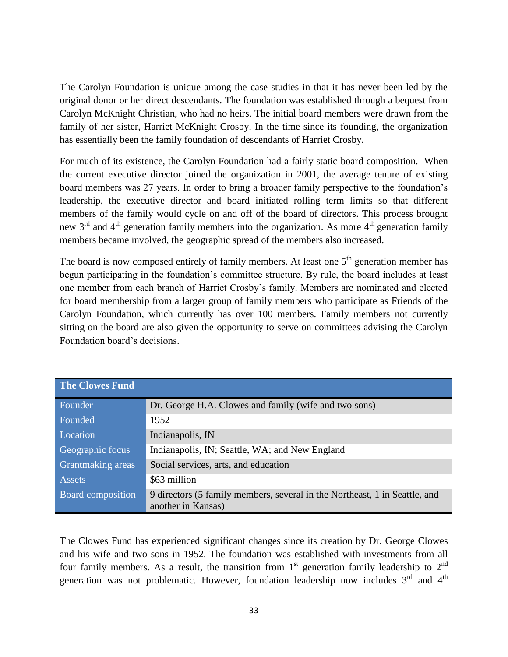The Carolyn Foundation is unique among the case studies in that it has never been led by the original donor or her direct descendants. The foundation was established through a bequest from Carolyn McKnight Christian, who had no heirs. The initial board members were drawn from the family of her sister, Harriet McKnight Crosby. In the time since its founding, the organization has essentially been the family foundation of descendants of Harriet Crosby.

For much of its existence, the Carolyn Foundation had a fairly static board composition. When the current executive director joined the organization in 2001, the average tenure of existing board members was 27 years. In order to bring a broader family perspective to the foundation's leadership, the executive director and board initiated rolling term limits so that different members of the family would cycle on and off of the board of directors. This process brought new  $3<sup>rd</sup>$  and  $4<sup>th</sup>$  generation family members into the organization. As more  $4<sup>th</sup>$  generation family members became involved, the geographic spread of the members also increased.

The board is now composed entirely of family members. At least one  $5<sup>th</sup>$  generation member has begun participating in the foundation's committee structure. By rule, the board includes at least one member from each branch of Harriet Crosby's family. Members are nominated and elected for board membership from a larger group of family members who participate as Friends of the Carolyn Foundation, which currently has over 100 members. Family members not currently sitting on the board are also given the opportunity to serve on committees advising the Carolyn Foundation board's decisions.

| <b>The Clowes Fund</b>   |                                                                                                  |
|--------------------------|--------------------------------------------------------------------------------------------------|
| Founder                  | Dr. George H.A. Clowes and family (wife and two sons)                                            |
| Founded                  | 1952                                                                                             |
| Location                 | Indianapolis, IN                                                                                 |
| Geographic focus         | Indianapolis, IN; Seattle, WA; and New England                                                   |
| Grantmaking areas        | Social services, arts, and education                                                             |
| <b>Assets</b>            | \$63 million                                                                                     |
| <b>Board composition</b> | 9 directors (5 family members, several in the Northeast, 1 in Seattle, and<br>another in Kansas) |

The Clowes Fund has experienced significant changes since its creation by Dr. George Clowes and his wife and two sons in 1952. The foundation was established with investments from all four family members. As a result, the transition from  $1<sup>st</sup>$  generation family leadership to  $2<sup>nd</sup>$ generation was not problematic. However, foundation leadership now includes  $3<sup>rd</sup>$  and  $4<sup>th</sup>$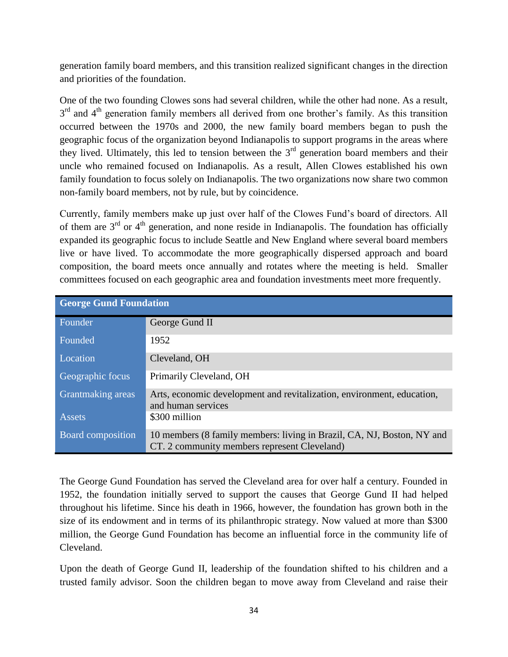generation family board members, and this transition realized significant changes in the direction and priorities of the foundation.

One of the two founding Clowes sons had several children, while the other had none. As a result,  $3<sup>rd</sup>$  and  $4<sup>th</sup>$  generation family members all derived from one brother's family. As this transition occurred between the 1970s and 2000, the new family board members began to push the geographic focus of the organization beyond Indianapolis to support programs in the areas where they lived. Ultimately, this led to tension between the  $3<sup>rd</sup>$  generation board members and their uncle who remained focused on Indianapolis. As a result, Allen Clowes established his own family foundation to focus solely on Indianapolis. The two organizations now share two common non-family board members, not by rule, but by coincidence.

Currently, family members make up just over half of the Clowes Fund's board of directors. All of them are  $3<sup>rd</sup>$  or  $4<sup>th</sup>$  generation, and none reside in Indianapolis. The foundation has officially expanded its geographic focus to include Seattle and New England where several board members live or have lived. To accommodate the more geographically dispersed approach and board composition, the board meets once annually and rotates where the meeting is held. Smaller committees focused on each geographic area and foundation investments meet more frequently.

| <b>George Gund Foundation</b> |                                                                                                                        |  |  |
|-------------------------------|------------------------------------------------------------------------------------------------------------------------|--|--|
| Founder                       | George Gund II                                                                                                         |  |  |
| Founded                       | 1952                                                                                                                   |  |  |
| Location                      | Cleveland, OH                                                                                                          |  |  |
| Geographic focus              | Primarily Cleveland, OH                                                                                                |  |  |
| <b>Grantmaking</b> areas      | Arts, economic development and revitalization, environment, education,<br>and human services                           |  |  |
| Assets                        | \$300 million                                                                                                          |  |  |
| Board composition             | 10 members (8 family members: living in Brazil, CA, NJ, Boston, NY and<br>CT. 2 community members represent Cleveland) |  |  |

The George Gund Foundation has served the Cleveland area for over half a century. Founded in 1952, the foundation initially served to support the causes that George Gund II had helped throughout his lifetime. Since his death in 1966, however, the foundation has grown both in the size of its endowment and in terms of its philanthropic strategy. Now valued at more than \$300 million, the George Gund Foundation has become an influential force in the community life of Cleveland.

Upon the death of George Gund II, leadership of the foundation shifted to his children and a trusted family advisor. Soon the children began to move away from Cleveland and raise their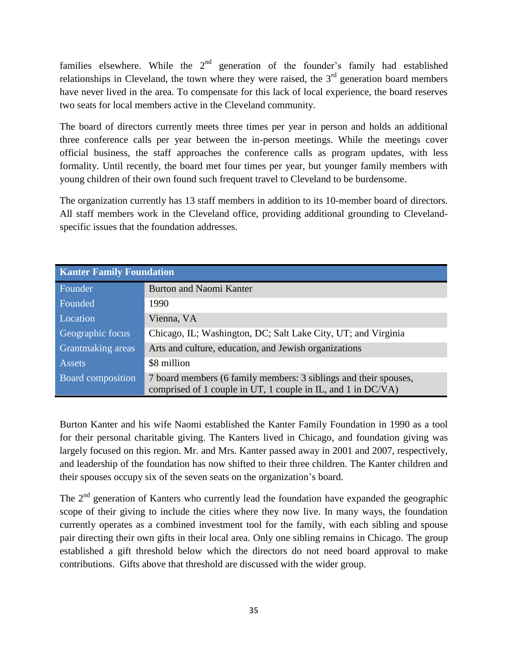families elsewhere. While the  $2<sup>nd</sup>$  generation of the founder's family had established relationships in Cleveland, the town where they were raised, the  $3<sup>rd</sup>$  generation board members have never lived in the area. To compensate for this lack of local experience, the board reserves two seats for local members active in the Cleveland community.

The board of directors currently meets three times per year in person and holds an additional three conference calls per year between the in-person meetings. While the meetings cover official business, the staff approaches the conference calls as program updates, with less formality. Until recently, the board met four times per year, but younger family members with young children of their own found such frequent travel to Cleveland to be burdensome.

The organization currently has 13 staff members in addition to its 10-member board of directors. All staff members work in the Cleveland office, providing additional grounding to Clevelandspecific issues that the foundation addresses.

| <b>Kanter Family Foundation</b> |                                                                                                                                  |  |
|---------------------------------|----------------------------------------------------------------------------------------------------------------------------------|--|
| Founder                         | <b>Burton and Naomi Kanter</b>                                                                                                   |  |
| Founded                         | 1990                                                                                                                             |  |
| Location                        | Vienna, VA                                                                                                                       |  |
| Geographic focus                | Chicago, IL; Washington, DC; Salt Lake City, UT; and Virginia                                                                    |  |
| Grantmaking areas               | Arts and culture, education, and Jewish organizations                                                                            |  |
| <b>Assets</b>                   | \$8 million                                                                                                                      |  |
| Board composition               | 7 board members (6 family members: 3 siblings and their spouses,<br>comprised of 1 couple in UT, 1 couple in IL, and 1 in DC/VA) |  |

Burton Kanter and his wife Naomi established the Kanter Family Foundation in 1990 as a tool for their personal charitable giving. The Kanters lived in Chicago, and foundation giving was largely focused on this region. Mr. and Mrs. Kanter passed away in 2001 and 2007, respectively, and leadership of the foundation has now shifted to their three children. The Kanter children and their spouses occupy six of the seven seats on the organization's board.

The  $2<sup>nd</sup>$  generation of Kanters who currently lead the foundation have expanded the geographic scope of their giving to include the cities where they now live. In many ways, the foundation currently operates as a combined investment tool for the family, with each sibling and spouse pair directing their own gifts in their local area. Only one sibling remains in Chicago. The group established a gift threshold below which the directors do not need board approval to make contributions. Gifts above that threshold are discussed with the wider group.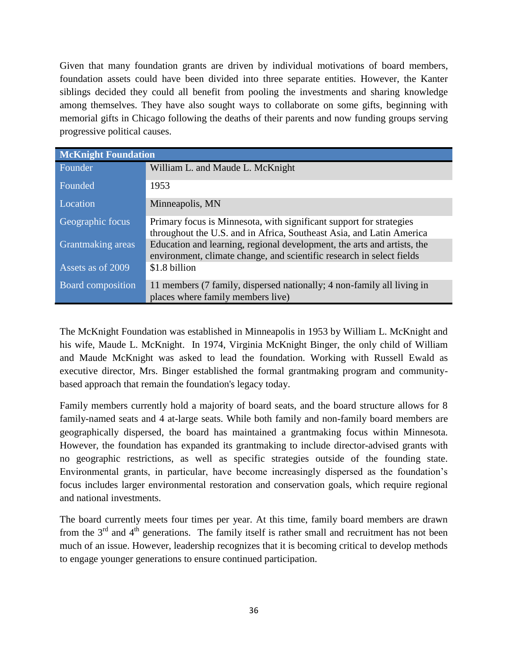Given that many foundation grants are driven by individual motivations of board members, foundation assets could have been divided into three separate entities. However, the Kanter siblings decided they could all benefit from pooling the investments and sharing knowledge among themselves. They have also sought ways to collaborate on some gifts, beginning with memorial gifts in Chicago following the deaths of their parents and now funding groups serving progressive political causes.

| <b>McKnight Foundation</b> |                                                                                                                                                  |  |  |
|----------------------------|--------------------------------------------------------------------------------------------------------------------------------------------------|--|--|
| Founder                    | William L. and Maude L. McKnight                                                                                                                 |  |  |
| Founded                    | 1953                                                                                                                                             |  |  |
| Location                   | Minneapolis, MN                                                                                                                                  |  |  |
| Geographic focus           | Primary focus is Minnesota, with significant support for strategies<br>throughout the U.S. and in Africa, Southeast Asia, and Latin America      |  |  |
| Grantmaking areas          | Education and learning, regional development, the arts and artists, the<br>environment, climate change, and scientific research in select fields |  |  |
| Assets as of 2009          | \$1.8 billion                                                                                                                                    |  |  |
| <b>Board composition</b>   | 11 members (7 family, dispersed nationally; 4 non-family all living in<br>places where family members live)                                      |  |  |

The McKnight Foundation was established in Minneapolis in 1953 by William L. McKnight and his wife, Maude L. McKnight. In 1974, Virginia McKnight Binger, the only child of William and Maude McKnight was asked to lead the foundation. Working with Russell Ewald as executive director, Mrs. Binger established the formal grantmaking program and communitybased approach that remain the foundation's legacy today.

Family members currently hold a majority of board seats, and the board structure allows for 8 family-named seats and 4 at-large seats. While both family and non-family board members are geographically dispersed, the board has maintained a grantmaking focus within Minnesota. However, the foundation has expanded its grantmaking to include director-advised grants with no geographic restrictions, as well as specific strategies outside of the founding state. Environmental grants, in particular, have become increasingly dispersed as the foundation's focus includes larger environmental restoration and conservation goals, which require regional and national investments.

The board currently meets four times per year. At this time, family board members are drawn from the  $3<sup>rd</sup>$  and  $4<sup>th</sup>$  generations. The family itself is rather small and recruitment has not been much of an issue. However, leadership recognizes that it is becoming critical to develop methods to engage younger generations to ensure continued participation.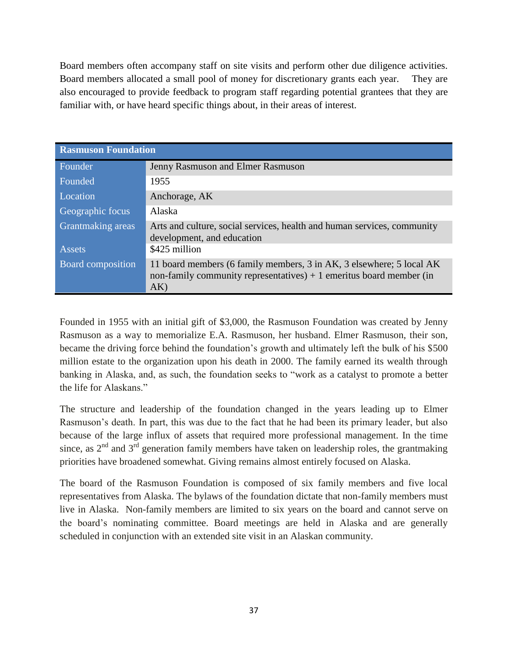Board members often accompany staff on site visits and perform other due diligence activities. Board members allocated a small pool of money for discretionary grants each year. They are also encouraged to provide feedback to program staff regarding potential grantees that they are familiar with, or have heard specific things about, in their areas of interest.

| <b>Rasmuson Foundation</b> |                                                                                                                                                     |  |  |
|----------------------------|-----------------------------------------------------------------------------------------------------------------------------------------------------|--|--|
| Founder                    | Jenny Rasmuson and Elmer Rasmuson                                                                                                                   |  |  |
| Founded                    | 1955                                                                                                                                                |  |  |
| Location                   | Anchorage, AK                                                                                                                                       |  |  |
| Geographic focus           | Alaska                                                                                                                                              |  |  |
| Grantmaking areas          | Arts and culture, social services, health and human services, community<br>development, and education                                               |  |  |
| <b>Assets</b>              | \$425 million                                                                                                                                       |  |  |
| Board composition          | 11 board members (6 family members, 3 in AK, 3 elsewhere; 5 local AK<br>non-family community representatives) $+1$ emeritus board member (in<br>AK) |  |  |

Founded in 1955 with an initial gift of \$3,000, the Rasmuson Foundation was created by Jenny Rasmuson as a way to memorialize E.A. Rasmuson, her husband. Elmer Rasmuson, their son, became the driving force behind the foundation's growth and ultimately left the bulk of his \$500 million estate to the organization upon his death in 2000. The family earned its wealth through banking in Alaska, and, as such, the foundation seeks to "work as a catalyst to promote a better the life for Alaskans."

The structure and leadership of the foundation changed in the years leading up to Elmer Rasmuson's death. In part, this was due to the fact that he had been its primary leader, but also because of the large influx of assets that required more professional management. In the time since, as  $2<sup>nd</sup>$  and  $3<sup>rd</sup>$  generation family members have taken on leadership roles, the grantmaking priorities have broadened somewhat. Giving remains almost entirely focused on Alaska.

The board of the Rasmuson Foundation is composed of six family members and five local representatives from Alaska. The bylaws of the foundation dictate that non-family members must live in Alaska. Non-family members are limited to six years on the board and cannot serve on the board's nominating committee. Board meetings are held in Alaska and are generally scheduled in conjunction with an extended site visit in an Alaskan community.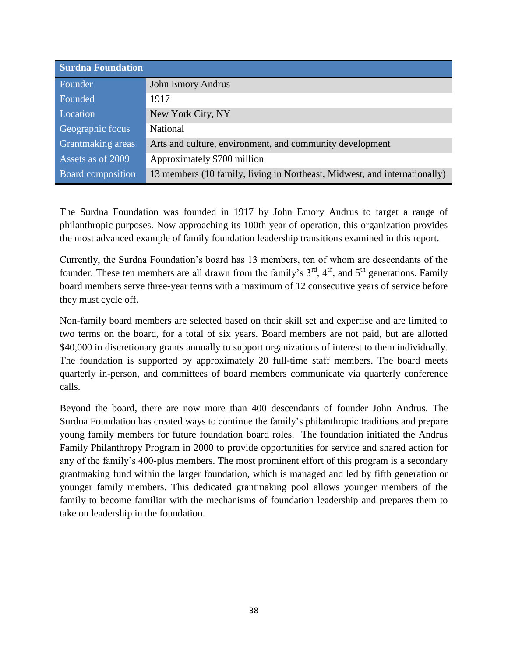| <b>Surdna Foundation</b> |                                                                           |  |  |
|--------------------------|---------------------------------------------------------------------------|--|--|
| Founder                  | <b>John Emory Andrus</b>                                                  |  |  |
| Founded                  | 1917                                                                      |  |  |
| Location                 | New York City, NY                                                         |  |  |
| Geographic focus         | <b>National</b>                                                           |  |  |
| Grantmaking areas        | Arts and culture, environment, and community development                  |  |  |
| Assets as of 2009        | Approximately \$700 million                                               |  |  |
| <b>Board</b> composition | 13 members (10 family, living in Northeast, Midwest, and internationally) |  |  |

The Surdna Foundation was founded in 1917 by John Emory Andrus to target a range of philanthropic purposes. Now approaching its 100th year of operation, this organization provides the most advanced example of family foundation leadership transitions examined in this report.

Currently, the Surdna Foundation's board has 13 members, ten of whom are descendants of the founder. These ten members are all drawn from the family's  $3<sup>rd</sup>$ ,  $4<sup>th</sup>$ , and  $5<sup>th</sup>$  generations. Family board members serve three-year terms with a maximum of 12 consecutive years of service before they must cycle off.

Non-family board members are selected based on their skill set and expertise and are limited to two terms on the board, for a total of six years. Board members are not paid, but are allotted \$40,000 in discretionary grants annually to support organizations of interest to them individually. The foundation is supported by approximately 20 full-time staff members. The board meets quarterly in-person, and committees of board members communicate via quarterly conference calls.

Beyond the board, there are now more than 400 descendants of founder John Andrus. The Surdna Foundation has created ways to continue the family's philanthropic traditions and prepare young family members for future foundation board roles. The foundation initiated the Andrus Family Philanthropy Program in 2000 to provide opportunities for service and shared action for any of the family's 400-plus members. The most prominent effort of this program is a secondary grantmaking fund within the larger foundation, which is managed and led by fifth generation or younger family members. This dedicated grantmaking pool allows younger members of the family to become familiar with the mechanisms of foundation leadership and prepares them to take on leadership in the foundation.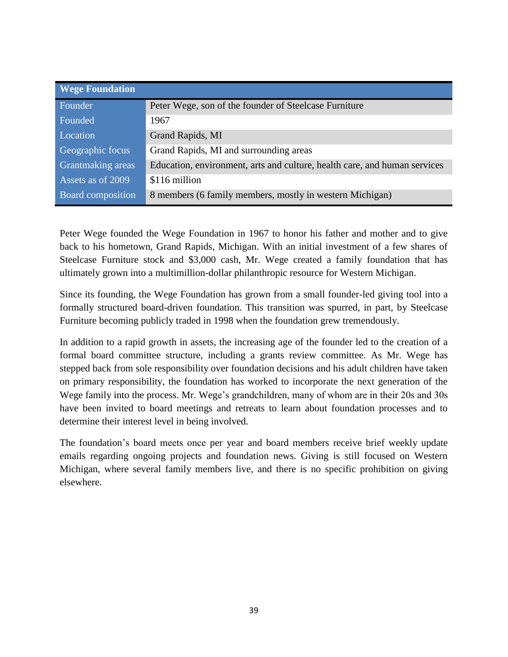| <b>Wege Foundation</b>   |                                                                           |
|--------------------------|---------------------------------------------------------------------------|
| Founder                  | Peter Wege, son of the founder of Steelcase Furniture                     |
| Founded                  | 1967                                                                      |
| Location                 | Grand Rapids, MI                                                          |
| Geographic focus         | Grand Rapids, MI and surrounding areas                                    |
| Grantmaking areas        | Education, environment, arts and culture, health care, and human services |
| Assets as of 2009        | \$116 million                                                             |
| <b>Board composition</b> | 8 members (6 family members, mostly in western Michigan)                  |

Peter Wege founded the Wege Foundation in 1967 to honor his father and mother and to give back to his hometown, Grand Rapids, Michigan. With an initial investment of a few shares of Steelcase Furniture stock and \$3,000 cash, Mr. Wege created a family foundation that has ultimately grown into a multimillion-dollar philanthropic resource for Western Michigan.

Since its founding, the Wege Foundation has grown from a small founder-led giving tool into a formally structured board-driven foundation. This transition was spurred, in part, by Steelcase Furniture becoming publicly traded in 1998 when the foundation grew tremendously.

In addition to a rapid growth in assets, the increasing age of the founder led to the creation of a formal board committee structure, including a grants review committee. As Mr. Wege has stepped back from sole responsibility over foundation decisions and his adult children have taken on primary responsibility, the foundation has worked to incorporate the next generation of the Wege family into the process. Mr. Wege's grandchildren, many of whom are in their 20s and 30s have been invited to board meetings and retreats to learn about foundation processes and to determine their interest level in being involved.

The foundation's board meets once per year and board members receive brief weekly update emails regarding ongoing projects and foundation news. Giving is still focused on Western Michigan, where several family members live, and there is no specific prohibition on giving elsewhere.